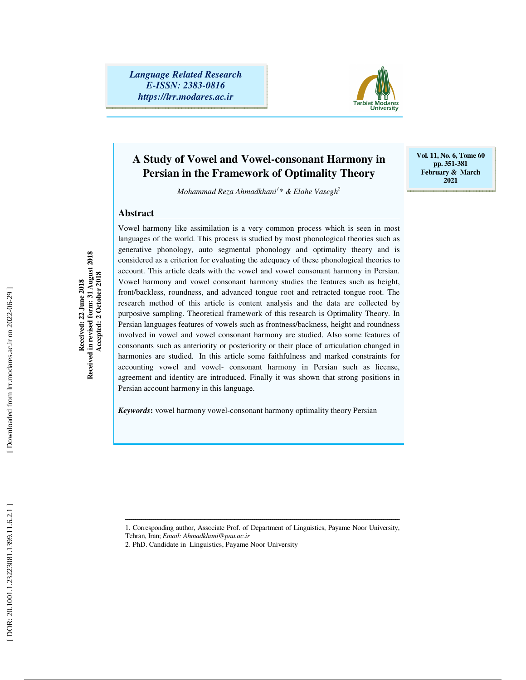*Language Related Research E-ISSN: 2383-0816 https://lrr.modares.ac.ir*



**Vol. 11, No. 6, Tome 60 pp. 351-381 February & March 2021** 

# **A Study of Vowel and Vowel-consonant Harmony in Persian in the Framework of Optimality Theory**

*Mohammad Reza Ahmadkhani 1 \* & Elahe Vasegh 2*

### **Abstract**

Vowel harmony like assimilation is a very common process which is seen in most languages of the world. This process is studied by most phonological theories such as generative phonology, auto segmental phonology and optimality theory and is considered as a criterion for evaluating the adequacy of these phonological theories to account. This article deals with the vowel and vowel consonant harmony in Persian. Vowel harmony and vowel consonant harmony studies the features such as height, front/backless, roundness, and advanced tongue root and retracted tongue root. The research method of this article is content analysis and the data are collected by purposive sampling. Theoretical framework of this research is Optimality Theory. In Persian languages features of vowels such as frontness/backness, height and roundness involved in vowel and vowel consonant harmony are studied. Also some features of consonants such as anteriority or posteriority or their place of articulation changed in harmonies are studied. In this article some faithfulness and marked constraints for accounting vowel and vowel- consonant harmony in Persian such as license, agreement and identity are introduced. Finally it was shown that strong positions in Persian account harmony in this language.

*Keywords***:** vowel harmony vowel-consonant harmony optimality theory Persian

ــــــــــــــــــــــــــــــــــــــــــــــــــــــــــــــــــــــــــــــــــــــــــــــــــــــــــــــــــــــــــــــــــــــــــ 1. Corresponding author, Associate Prof. of Department of Linguistics, Payame Noor University,

**Received: 22 June 2018 Received in revised form: 31 August 2018 Accepted: 2 October 2018** 

Received in revised form: 31 August 2018<br>Received in revised form: 31 August 2018<br>Accepted: 2 October 2018

Tehran, Iran; *Email: Ahmadkhani@pnu.ac.ir*

<sup>2.</sup> PhD. Candidate in Linguistics, Payame Noor University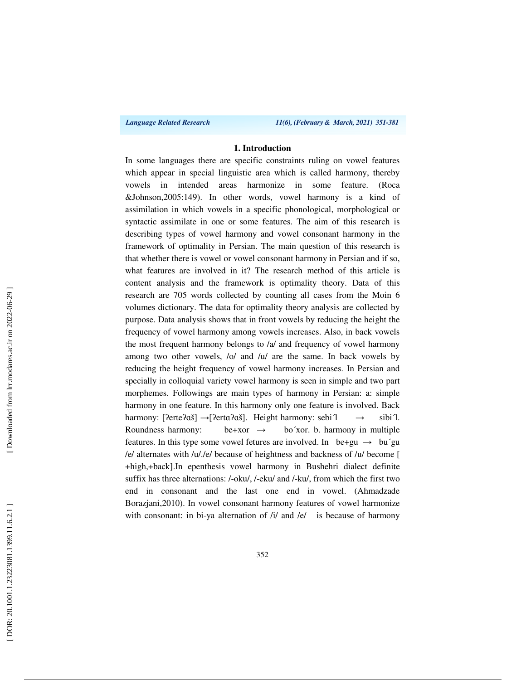*Language Related Research 11(6), (February & March, 2021) 351-381*

### **1. Introduction**

In some languages there are specific constraints ruling on vowel features which appear in special linguistic area which is called harmony, thereby vowels in intended areas harmonize in some feature. (Roca &Johnson,2005:149). In other words, vowel harmony is a kind of assimilation in which vowels in a specific phonological, morphological or syntactic assimilate in one or some features. The aim of this research is describing types of vowel harmony and vowel consonant harmony in the framework of optimality in Persian. The main question of this research is that whether there is vowel or vowel consonant harmony in Persian and if so, what features are involved in it? The research method of this article is content analysis and the framework is optimality theory. Data of this research are 705 words collected by counting all cases from the Moin 6 volumes dictionary. The data for optimality theory analysis are collected by purpose. Data analysis shows that in front vowels by reducing the height the frequency of vowel harmony among vowels increases. Also, in back vowels the most frequent harmony belongs to /a/ and frequency of vowel harmony among two other vowels, /o/ and /u/ are the same. In back vowels by reducing the height frequency of vowel harmony increases. In Persian and specially in colloquial variety vowel harmony is seen in simple and two part morphemes. Followings are main types of harmony in Persian: a: simple harmony in one feature. In this harmony only one feature is involved. Back harmony: [ʔerteʔɑš] →[ʔertɑʔɑš]. Height harmony: sebi<sup>1</sup>  $\rightarrow$  sibi<sup>1</sup>. Roundness harmony: be+xor  $\rightarrow$ bo'xor. b. harmony in multiple features. In this type some vowel fetures are involved. In be+gu  $\rightarrow$  bu'gu /e/ alternates with /u/./e/ because of heightness and backness of /u/ become [ +high,+back].In epenthesis vowel harmony in Bushehri dialect definite suffix has three alternations: /-oku/, /-eku/ and /-ku/, from which the first two end in consonant and the last one end in vowel. (Ahmadzade Borazjani,2010). In vowel consonant harmony features of vowel harmonize with consonant: in bi-ya alternation of /i/ and /e/ is because of harmony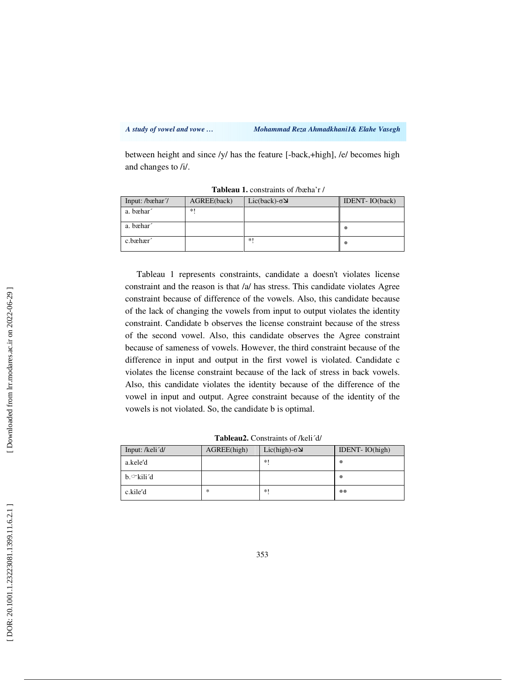*A study of vowel and vowe … Mohammad Reza Ahmadkhani1& Elahe Vasegh* 

between height and since /y/ has the feature [-back,+high], /e/ becomes high and changes to /i/.

| Input: /bæhar/ | AGREE(back) | $Lic(back)$ - $\sigma\Delta$ | <b>IDENT-IO(back)</b> |
|----------------|-------------|------------------------------|-----------------------|
| a. bæhar       | $*!$        |                              |                       |
| a. bæhar       |             |                              | 鉴                     |
| c.bæhær        |             | *1                           | 鉴                     |

**Tableau 1.** constraints of /bæha'r /

Tableau 1 represents constraints, candidate a doesn't violates license constraint and the reason is that /a/ has stress. This candidate violates Agree constraint because of difference of the vowels. Also, this candidate because of the lack of changing the vowels from input to output violates the identity constraint. Candidate b observes the license constraint because of the stress of the second vowel. Also, this candidate observes the Agree constraint because of sameness of vowels. However, the third constraint because of the difference in input and output in the first vowel is violated. Candidate c violates the license constraint because of the lack of stress in back vowels. Also, this candidate violates the identity because of the difference of the vowel in input and output. Agree constraint because of the identity of the vowels is not violated. So, the candidate b is optimal.

| Input: /keli <sup>'d/</sup> | AGREE(high) | $Lic(high)-\sigma$ لا | IDENT- $IO(high)$ |
|-----------------------------|-------------|-----------------------|-------------------|
| a.kele'd                    |             | $*1$                  | 拳                 |
| b.∽kili′d                   |             |                       | 崇                 |
| c.kile'd                    | ∗           | *1                    | **                |

**Tableau2.** Constraints of /keli´d/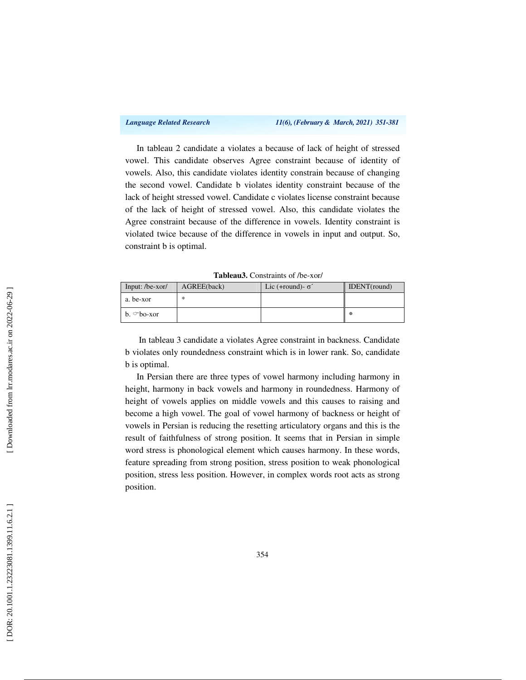In tableau 2 candidate a violates a because of lack of height of stressed vowel. This candidate observes Agree constraint because of identity of vowels. Also, this candidate violates identity constrain because of changing the second vowel. Candidate b violates identity constraint because of the lack of height stressed vowel. Candidate c violates license constraint because of the lack of height of stressed vowel. Also, this candidate violates the Agree constraint because of the difference in vowels. Identity constraint is violated twice because of the difference in vowels in input and output. So, constraint b is optimal.

| Input: $/be-xor/$ | AGREE(back) | Lic (+round)- $\sigma'$ | IDENT(round) |
|-------------------|-------------|-------------------------|--------------|
| a. be-xor         | ∗           |                         |              |
| $b. \circ$ bo-xor |             |                         | 崇            |

**Tableau3.** Constraints of /be-xor/

 In tableau 3 candidate a violates Agree constraint in backness. Candidate b violates only roundedness constraint which is in lower rank. So, candidate b is optimal.

In Persian there are three types of vowel harmony including harmony in height, harmony in back vowels and harmony in roundedness. Harmony of height of vowels applies on middle vowels and this causes to raising and become a high vowel. The goal of vowel harmony of backness or height of vowels in Persian is reducing the resetting articulatory organs and this is the result of faithfulness of strong position. It seems that in Persian in simple word stress is phonological element which causes harmony. In these words, feature spreading from strong position, stress position to weak phonological position, stress less position. However, in complex words root acts as strong position.

Downloaded from lrr.modares.ac.ir on 2022-06-29]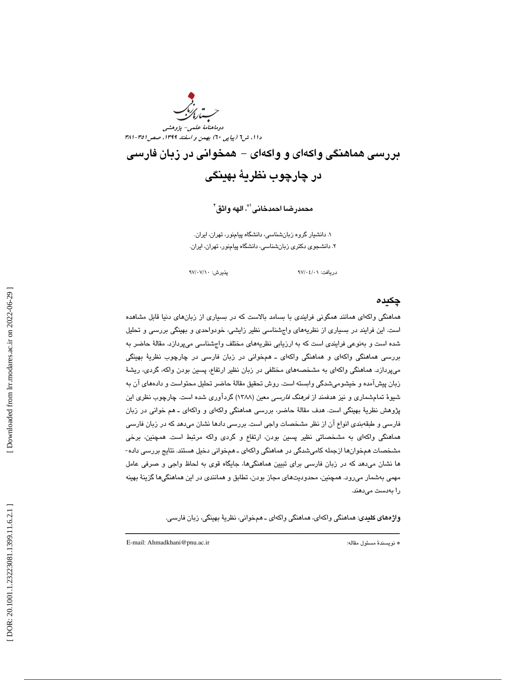

بررسي هماهنگي واكهاي و واكهاي - همخواني در زبان فارسي در چارچوب نظرية بهينگي

محمدرضـا احمدخانـى'"ٌ، الـهه واثق<sup>٬</sup>

. دانشيار گروه زبانشناسي، دانشگاه پيامنور، تهران، ايران. 1 . دانشجوي دكتري زبانشناسي، دانشگاه پيامنور، تهران، ايران. 2

دريافت: 01/ 04/ 97 پذيرش: 10/ 07/ 97

### چكيده

هماهنگي واكه اي همانند همگوني فرايندي با بسامد بالاست كه در بسياري از زبانهاي دنيا قابل مشاهده است. اين فرايند در بسياري از نظريههاي واجشناسي نظير زايشي، خودواحدي و بهينگي بررسي و تحليل شده است و بهنوعي فرايندي است كه به ارزيابي نظريههاي مختلف واجشناسي ميپردازد. مقالهٔ حاضر به بررسي هماهنگي واكهاي و هماهنگي واكهاي ـ همخواني در زبان فارسي در چارچوب نظرية بهينگي ميپردازد. هماهنگي واكهاي به مشخصههاي مختلفي در زبان نظير ارتفاع، پسين بودن واكه، گردي، ريشهٔ زبان پیشآمده و خیشومیشدگی وابسته است. روش تحقیق مقالهٔ حاضر تحلیل محتواست و دادههای آن به شيوهٔ تمامشماري و نيز هدفمند از *فرهنگ فارسي م*عين (١٣٨٨) گردآوري شده است. چارچوب نظري اين پژوهش نظرية بهينگي است. هدف مقالة حاضر، بررسي هماهنگي واكهاي و واكهاي ـ هم خواني در زبان فارسي و طبقهبندي انواع آن از نظر مشخصات واجي است. بررسي دادها نشان ميدهد كه در زبان فارسي هماهنگي واكهاي به مشخصاتي نظير پسين بودن، ارتفاع و گردي واكه مرتبط است. همچنين، برخي مشخصات همخوانها ازجمله كامیشدگی در هماهنگی واكهای ـ همخوانی دخیل هستند. نتایج بررسی داده-ها نشان ميدهد كه در زبان فارسي براي تبيين هماهنگيها، جايگاه قوي به لحاظ واجي و صرفي عامل مهمي بهشمار ميرود. همچنين، محدوديتهاي مجاز بودن، تطابق و همانندي در اين هماهنگيها گزينة بهينه را بهدست ميدهند.

**واژههای کلیدی**: هماهنگی واکهای، هماهنگی واکهای ــ همخوانی، نظریهٔ بهینگی، زبان فارسی.

ــــــــــــــــــــــــــــــــــــــــــــــــــــــــــــــــــــــــــــــــــــــــــــــــــــــــــــــــــــــــــــــــــــــــــ

E-mail: Ahmadkhani@pnu.ac.ir :مقاله مسئول نويسندة\*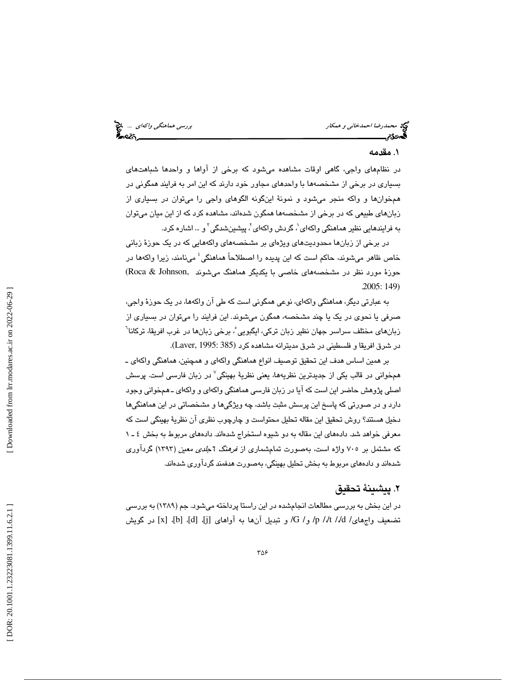محمدرضا احم*دخاني و همكار بررسي هماهنگي واكهاي ...*. من بررسي هماهن*گي واكهاي ...*. من بررسي هماهنگي *واكهاي ...*<br>**په**مونگي بررسي همان بررسي هم بررسي همان بررسي همان بررسي هماهنگي بررسي هماهنگي واكه بررسي هم بررسي هم بررس

# . مقدمه 1

در نظامهاي واجي، گاهي اوقات مشاهده ميشود كه برخي از آواها و واحدها شباهتهاي بسياري در برخي از مشخصهها با واحدهاي مجاور خود دارند كه اين امر به فرايند همگوني در همخوانها و واكه منجر ميشود و نمونة اينگونه الگوهاي واجي را ميتوان در بسياري از زبانهای طبیعی که در برخی از مشخصهها همگون شدهاند، مشاهده کرد که از این میان میتوان به فرایندهایی نظیر هماهنگی واکهای $^{\prime}$ ، گردش واکهای $^{\prime}$ ، پیشینشدگی $^{\prime}$  و … اشاره کرد.

در برخي از زبانها محدوديتهاي ويژهاي بر مشخصههاي واكههايي كه در يك حوزة زباني خاص ظاهر ميشوند، حاكم است كه اين پديده را اصطلاحاً هماهنگي 4 مينامند، زيرا واكهها در حوزهٔ مورد نظر در مشخصههای خاصی با یکدیگر هماهنگ میشوند ,Roca & Johnson)<br>(149 .2005

به عبارتي ديگر، هماهنگي واكهاي، نوعي همگوني است كه طي آن واكهها، در يك حوزة واجي، صرفي يا نحوي در يک يا چند مشخصه، همگون ميشوند. اين فرايند را ميتوان در بسياري از زبانهای مختلف سراسر جهان نظیر زبان ترکی، ایگبویی ؒ، برخی زبانها در غرب افریقا، ترکانا<sup>ר</sup> در شرق افريقا و فلسطيني در شرق مديترانه مشاهده كرد (385 1995: ,Laver(.

بر همين اساس هدف اين تحقيق توصيف انواع هماهنگي واكهاي و همچنين، هماهنگي واكهاي ـ همخوانی در قالب یکی از جدیدترین نظریهها، یعنی نظریهٔ بهینگی<sup>۷</sup> در زبان فارسی است. پرسش اصلي پژوهش حاضر اين است كه آيا در زبان فارسي هماهنگي واكهاي و واكهاي ـ همخواني وجود دارد و در صورتي كه پاسخ اين پرسش مثبت باشد، چه ويژگيها و مشخصاتي در اين هماهنگيها دخيل هستند؟ روش تحقيق اين مقاله تحليل محتواست و چارچوب نظري آن نظرية بهينگي است كه معرفي خواهد شد. دادههاي اين مقاله به دو شيوه استخراج شدهاند. دادههاي مربوط به بخش 1ـ 4 كه مشتمل بر ۷۰۵ واژه است، بهصورت تمامشماری از *فرهنگ 1جلدی معین (*۱۳۹۳) گردآوری شدهاند و دادههاي مربوط به بخش تحليل بهينگي، بهصورت هدفمند گردآوري شدهاند.

# . پيشينة تحقيق 2

در اين بخش به بررسي مطالعات انجامشده در اين راستا پرداخته ميشود. جم (1389) به بررسي تضعيف واجِهاي/ 4/d /d/ و/ G/ و نبديل آنِها به آواهاي [j]، [d]، [x] ار گويش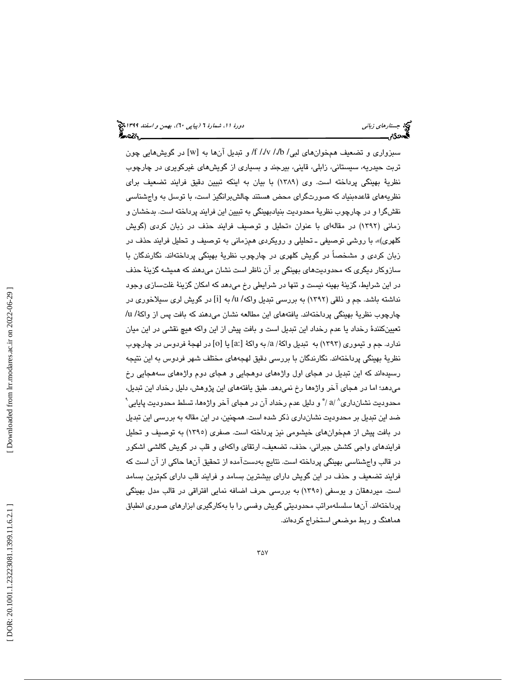سبزواري و تضعيف همخوانهاي لبي/ b/ /db/ /db/ و تبديل آنها به [w] در گويشهايي چون تربت حيدريه، سيستاني، زابلي، قايني، بيرجند و بسياري از گويشهاي غيركويري در چارچوب نظرية بهينگي پرداخته است. وي (1389) با بيان به اينكه تبيين دقيق فرايند تضعيف براي نظريههاي قاعدهبنياد كه صورتگراي محض هستند چالش برانگيز است، با توسل به واجشناسي نقشگرا و در چارچوب نظرية محدوديت بنيادبهينگي به تبيين اين فرايند پرداخته است. بدخشان و زماني (۱۳۹۲) در مقالهاي با عنوان «تحليل و توصيف فرايند حذف در زبان كردي (گويش ، با روشي توصيفي ـ تحليلي و رويكردي همزماني به توصيف و تحليل فرايند حذف در كلهري)» زبان كردي و مشخصاً در گويش كلهري در چارچوب نظرية بهينگي پرداختهاند. نگارندگان با سازوكار ديگرى كه محدوديتهاى بهينگي بر آن ناظر است نشان مىدهند كه هميشه گزينهٔ حذف در اين شرايط، گزينة بهينه نيست و تنها در شرايطي رخ ميدهد كه امكان گزينة غلتسازي وجود نداشته باشد. جم و ذلقي (1392) به بررسي تبديل واكه/ u/ به [i [در گويش لري سيلاخوري در چارچوب نظريهٔ بهينگي پرداختهاند. يافتههاي اين مطالعه نشان ميدهند كه بافت پس از واكهٔ/ u/ تعيينكنندة رخداد يا عدم رخداد اين تبديل است و بافت پيش از اين واكه هيچ نقشي در اين ميان ندارد. جم و تيموري (١٣٩٣) به تبديل واكهٔ/ a/ به واكهٔ [a:] يا [o] در لهجهٔ فردوس در چارچوب نظرية بهينگي پرداختهاند. نگارندگان با بررسي دقيق لهجههاي مختلف شهر فردوس به اين نتيجه رسيدهاند كه اين تبديل در هجاي اول واژههاي دوهجايي و هجاي دوم واژههاي سههجايي رخ ميدهد؛ اما در هجاي آخر واژهها رخ نميدهد. طبق يافتههاي اين پژوهش، دليل رخداد اين تبديل، محدوديت نشانداری^ /a / ٌ و دليل عدم رخداد آن در هجای آخر واژهها، تسلط محدوديت پايايي` ضد اين تبديل بر محدوديت نشانداري ذكر شده است. همچنين، در اين مقاله به بررسي اين تبديل در بافت پيش از همخوانهاي خيشومي نيز پرداخته است. صفري (١٣٩٥) به توصيف و تحليل فرايندهاي واجي كشش جبراني، حذف، تضعيف، ارتقاي واكهاي و قلب در گويش گالشي اشكور در قالب واجشناسي بهينگي پرداخته است. نتايج بهدستآمده از تحقيق آنها حاكي از آن است كه فرايند تضعيف و حذف در اين گويش داراي بيشترين بسامد و فرايند قلب داراي كمترين بسامد ست. میردهقان و یوسفی (۱۳۹۰) به بررسی حرف اضافه نمایی افتراقی در قالب مدل بهینگی ا پرداختهاند. آن ها سلسلهمراتب محدوديتي گويش وفسي را با بهكارگيري ابزارهاي صوري انطباق هماهنگ و ربط موضعي استخراج كردهاند. 9 کا 1 A کی ج ک 4 A کی ج 4 A کی ج ب تک اللہ 2008.1.399.11.6.2010.1.23223081.1399.11.6.2.1 [\[ Downloaded from lrr.modares.ac.ir on 20](https://lrr.modares.ac.ir/article-14-22216-fa.html)22-06-29 ]<br>| Downloaded from lrr.modares.ac.ir on 2022-06-29 ]<br>| Downloaded from lrr.moda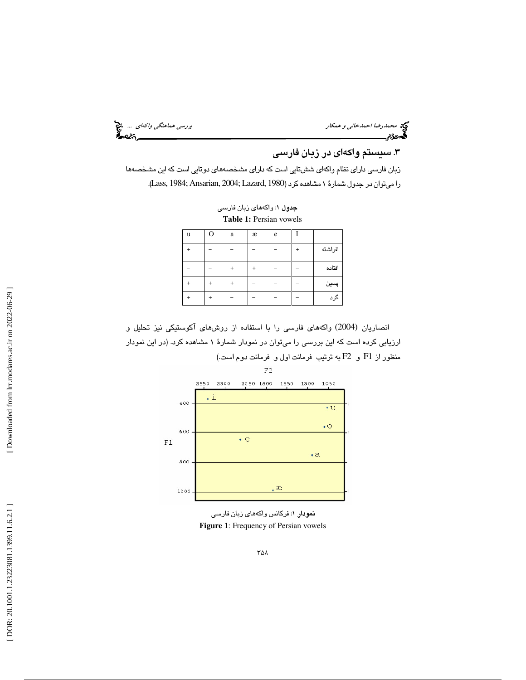محمد رضا احمدخاني و همكار بررسي هماهنگي *واكهاي ...*. چ<mark>خ</mark><br>پررسي هماهنگي و احمدخاني و همكار بررسي هماهنگي واكه بررسي هماهنگي واكه بررسي<br>پروتئي بررسي

# .3 سيستم واكهاي در زبان فارسي

زبان فارسي داراي نظام واكهاي ششتايي است كه داراي مشخصههاي دوتايي است كه اين مشخصهها .(Lass, 1984; Ansarian, 2004; Lazard, 1980 را ميتوان در جدول شمارة 1 مشاهده كرد (

جدول 1: واكههاي زبان فارسي **Table 1:** Persian vowels

| u | റ | a | æ | e |         |
|---|---|---|---|---|---------|
|   |   |   |   |   | افراشته |
|   |   |   |   |   | افتاده  |
|   |   |   |   |   | پسين    |
|   |   |   |   |   | گرد     |

انصاريان (2004) واكههاي فارسي را با استفاده از روشهاي آكوستيكي نيز تحليل و ارزيابي كرده است كه اين بررسي را ميتوان در نمودار شمارة 1 مشاهده كرد. (در اين نمودار منظور از 1F و 2F به ترتيب فرمانت اول و فرمانت دوم است.)



نمودار : 1 فركانس واكههاي زبان فارسي **Figure 1**: Frequency of Persian vowels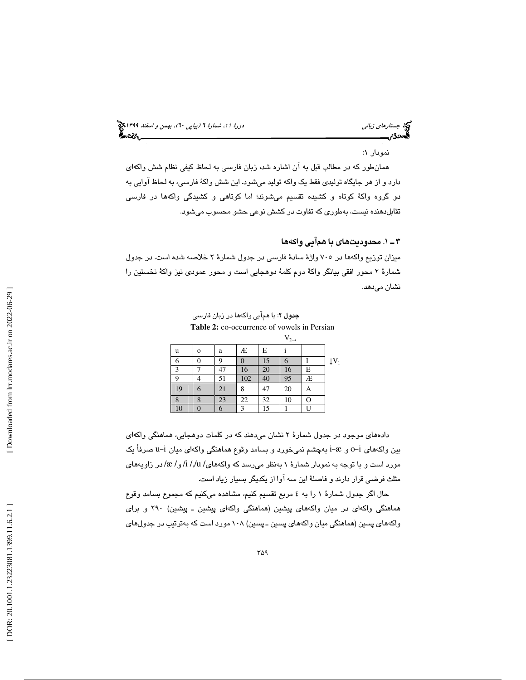جستار*هاي زباني (بياپي 60)، بهمن و اسفند 1*398 هجرا بياني دورة 11، شمارة 1 (پياپي ٢٠)، بهم*ن و اسفند 1*394 هج

### نمودار : 1

همانطور كه در مطالب قبل به آن اشاره شد، زبان فارسي به لحاظ كيفي نظام شش واكهاي دارد و از هر جايگاه توليدي فقط يك واكه توليد ميشود. اين شش واكة فارسي، به لحاظ آوايي به دو گروه واكة كوتاه و كشيده تقسيم ميشوند؛ اما كوتاهي و كشيدگي واكهها در فارسي تقابلدهنده نيست، بهطوري كه تفاوت در كشش نوعي حشو محسوب ميشود.

## 1ـ 3 . محدوديتهاي با همآيي واكه ها

ميزان توزيع واكهها در 705 واژة سادة فارسي در جدول شمارة 2 خلاصه شده است. در جدول شمارة 2 محور افقي بيانگر واكة دوم كلمة دوهجايي است و محور عمودي نيز واكة نخستين را نشان ميدهد.

جدول 2: با همآيي واكهها در زبان فارسي **Table 2:** co-occurrence of vowels in Persian

|    |              |    |     |    | $V_{2\rightarrow}$ |   |                             |
|----|--------------|----|-----|----|--------------------|---|-----------------------------|
| u  | $\mathbf{o}$ | a  | Æ   | Е  |                    |   |                             |
| 6  |              |    |     | 15 | 6                  |   | $\downarrow$ V <sub>1</sub> |
| 3  |              | 47 | 16  | 20 | 16                 | E |                             |
| 9  |              | 51 | 102 | 40 | 95                 | Æ |                             |
| 19 | 6            | 21 | 8   | 47 | 20                 | A |                             |
| 8  | 8            | 23 | 22  | 32 | 10                 | Ο |                             |
| 10 |              |    | 3   | 15 |                    |   |                             |

 دادههاي موجود در جدول شمارة 2 نشان ميدهند كه در كلمات دوهجايي، هماهنگي واكهاي بین واکههای i−2 و i−2 بهچشم نمیخورد و بسامد وقوع هماهنگی واکهای میان i−i صرفاً یک مورد است و با توجه به نمودار شمارهٔ ۱ بهنظر میرسد كه واكههای/ i /,/u/ و/ æ/ در زاویههای مثلث فرضي قرار دارند و فاصلة اين سه آوا از يكديگر بسيار زياد است.

حال اگر جدول شمارة 1 را به 4 مربع تقسيم كنيم، مشاهده ميكنيم كه مجموع بسامد وقوع هماهنگي واكهاي در ميان واكههاي پيشين (هماهنگي واكهاي پيشين ـ پيشين) 290 و براي واكههاي پسين (هماهنگي ميان واكههاي پسين ـ پسين) 108 مورد است كه بهترتيب در جدولهاي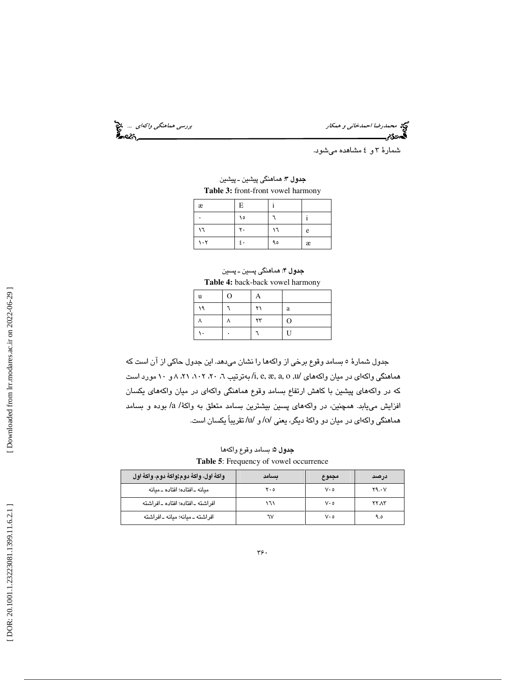محمد رضا احمدخاني و همكار بررسي هماهنگي *واكهاي ...*. و<mark>ي:</mark><br>المحمدرضا احمدخاني و همكار بررسي هماهنگي واكه بررسي هماهنگي واكه بررسي<br>**المحمد**ی:

شمارة 4و 3 مشاهده ميشود.

جدول 3: هماهنگي پيشين ـ پيشين **Table 3:** front-front vowel harmony

| æ         | E  |    |   |
|-----------|----|----|---|
|           | ١٥ |    |   |
| ١٦        | ۲. | ١٦ | e |
| $\cdot$ ٢ | ٤٠ | ۹٥ | æ |

جدول 4: هماهنگي پسين ـ پسين **Table 4:** back-back vowel harmony

| u  | $\Omega$ | А          |                |
|----|----------|------------|----------------|
| ۱۹ |          | ۲۱         | a              |
|    |          | $\tau\tau$ | $\Omega$       |
|    |          |            | $\overline{U}$ |

جدول شمارة 5 بسامد وقوع برخي از واكهها را نشان ميدهد. اين جدول حاكي از آن است كه هماهنگي واكهاي در ميان واكههاي /u, o ,a ,æ ,e ,i/ به ترتيب ، 6 ، 20 ،102 و ،8 21 10 مورد است كه در واكههاي پيشين با كاهش ارتفاع بسامد وقوع هماهنگي واكهاي در ميان واكههاي يكسان افزايش مييابد. همچنين، در واكههاي پسين بيشترين بسامد متعلق به واكة/ a/ بوده و بسامد هماهنگي واكهاي در ميان دو واكة ديگر، يعني /o/ و /u/ تقريباً يكسان است.

جدول 5: بسامد وقوع واكه ها **Table 5**: Frequency of vowel occurrence

| واكةُ اول، واكةُ دوم;واكةُ دوم، واكةُ اول | ىسامد | مجموع       | درصد  |
|-------------------------------------------|-------|-------------|-------|
| ميانه ـ افتاده؛ افتاده ـ ميانه            | ه ۲۰  | $V \cdot o$ | Y9.0V |
| افر اشته ـ افتاده؛ افتاده ـ افر اشته      | ۱٦۱   | ه ۷۰        | YYAY  |
| افراشته ـ مىانه؛ مىانه ـ افراشته          | ٦٧    | ه ۷۰        | ۹.٥   |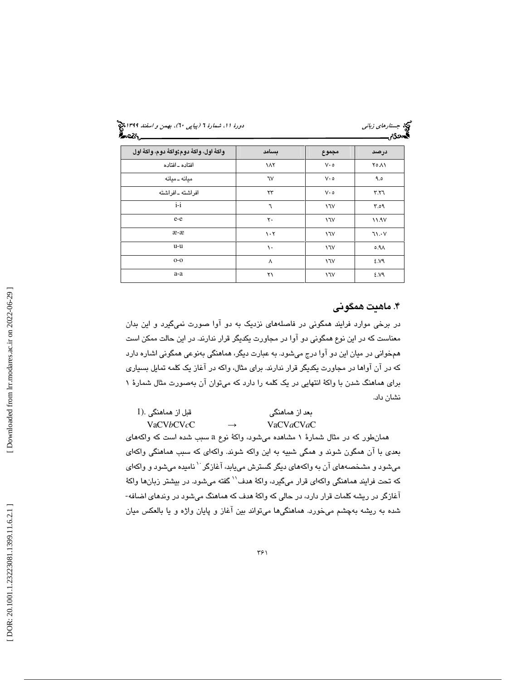جستار*هاي زباني (بياپي 60)، بهمن و اسفند 1*398 هجرا بياني دورة 11، شمارة 1 (پياپي ٢٠)، بهم*ن و اسفند 1*394 هج

| واكةُ اول، واكةُ دوم;واكةُ دوم، واكةُ اول | ىسامد                           | مجموع       | درصد             |
|-------------------------------------------|---------------------------------|-------------|------------------|
| افتاده ـ افتاده                           | ١٨٢                             | $V \cdot o$ | ۲۵.۸۱            |
| مىانە ـ مىانە                             | ٦V                              | $V \cdot o$ | 9.0              |
| افراشته ـ افراشته                         | ۲۳                              | $V \cdot o$ | Y.Y              |
| $i-i$                                     | ٦                               | 17V         | Y.09             |
| e-e                                       | $\mathsf{r}\cdot$               | $\sqrt{V}$  | 11.97            |
| æ-æ                                       | $\mathcal{N} \cdot \mathcal{N}$ | $\sqrt{V}$  | 71.4V            |
| u-u                                       | ١.                              | 17V         | 0.9 <sub>A</sub> |
| $O-O$                                     | ٨                               | ١٦V         | 2.19             |
| a-a                                       | ۲۱                              | 17V         | ٤.V٩             |

# . ماهيت همگوني 4

در برخي موارد فرايند همگوني در فاصلههاي نزديك به دو آوا صورت نميگيرد و اين بدان معناست كه در اين نوع همگوني دو آوا در مجاورت يكديگر قرار ندارند. در اين حالت ممكن است همخواني در ميان اين دو آوا درج ميشود. به عبارت ديگر، هماهنگي بهنوعي همگوني اشاره دارد كه در آن آواها در مجاورت يكديگر قرار ندارند. براي مثال، واكه در آغاز يك كلمه تمايل بسياري براي هماهنگ شدن با واكة انتهايي در يك كلمه را دارد كه ميتوان آن بهصورت مثال شمارة 1 نشان داد.

| قبل از هماهنگی .(1 |               | بعد از هماهنگی              |
|--------------------|---------------|-----------------------------|
| VaCV <i>b</i> CVcC | $\rightarrow$ | VaCV <i>a</i> CV <i>a</i> C |

سبب شده است كه واكههاي همانطور كه در مثال شمارة 1 مشاهده ميشود، واكة نوع a بعدي با آن همگون شوند و همگي شبيه به اين واكه شوند. واكهاي كه سبب هماهنگي واكهاي میشود و مشخصههای آن به واکههای دیگر گسترش مییابد، آغازگر <sup>۱۰</sup> نامیده میشود و واکهای كه تحت فرايند هماهنگي واكهاي قرار ميگيرد، واكهٔ هدف<sup>\\</sup> گفته ميشود. در بيشتر زبانها واكهٔ آغازگر در ريشه كلمات قرار دارد، در حالي كه واكة هدف كه هماهنگ ميشود در وندهاي اضافه- شده به ريشه بهچشم ميخورد. هماهنگيها ميتواند بين آغاز و پايان واژه و يا بالعكس ميان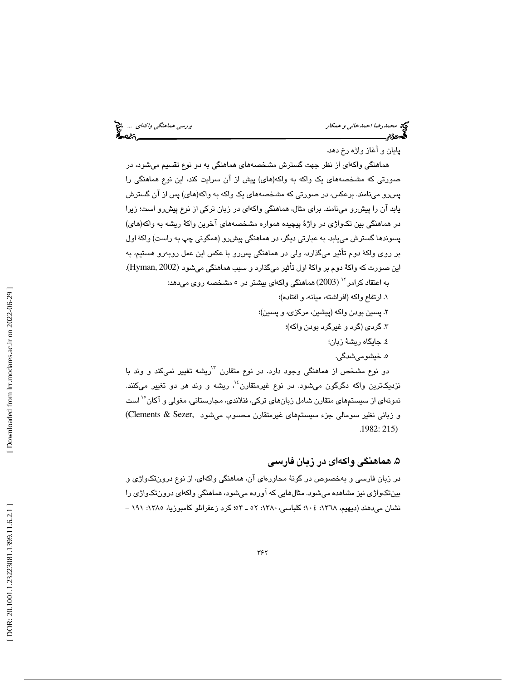محمد رضا احمدخاني و همكار بررسي هماهنگي *واكهاي ...*. چ<mark>خ</mark><br>پررسي هماهنگي واكه اي بررسي همان بررسي هماهنگي واكه بررسي هماهنگي واكه بررسي<br>پرسي بررسي بررسي بررسي بررسي بررسي بررسي بررسي همان بررسي هماهنگي واكه بررسي هماهنگي

پايان و آغاز واژه رخ دهد.

هماهنگي واكهاي از نظر جهت گسترش مشخصههاي هماهنگي به دو نوع تقسيم ميشود، در صورتي كه مشخصههاي يك واكه به واكه(هاي) پيش از آن سرايت كند، اين نوع هماهنگي را پسرو مينامند. برعكس، در صورتي كه مشخصههاي يك واكه به واكه(هاي) پس از آن گسترش يابد آن را پيشرو مينامند. براي مثال، هماهنگي واكهاي در زبان تركي از نوع پيشرو است؛ زيرا در هماهنگي بين تكواژي در واژة پيچيده همواره مشخصههاي آخرين واكة ريشه به واكه(هاي) پسون دها گسترش مييابد. به عبارتي ديگر، در هماهنگي پيشرو (همگوني چپ به راست) واكة اول بر روی واکهٔ دوم تأثير ميگذارد، ولي در هماهنگي پسررو با عکس اين عمل روبهرو هستيم، به<br>اين صورت که واکهٔ دوم بر واکهٔ اول تأثير ميگذارد و سبب هماهنگي ميشود (Hyman, 2002).

به اعتقاد كرامر 12 (2003) هماهنگي واكهاي بيشتر در 5 مشخصه روي ميدهد:

- 1. ارتفاع واكه (افراشته، ميانه، و افتاده)؛
- 2. پسين بودن واكه (پيشين، مركزي، و پسين)؛
	- 3. گردي (گرد و غيرگرد بودن واكه)؛
		- 4. جايگاه ريشة زبان؛
			- 5. خيشوميشدگي.

دو نوع مشخص از هماهنگي وجود دارد. در نوع متقارن <sup>۱۲</sup>ريشه تغيير نميكند و وند با نزديكترين واكه دگرگون ميشود. در نوع غيرمتقارن<sup>، ۱</sup> ريشه و وند هر دو تغيير ميكنند. نمونهاي از سيستمهاي متقارن شامل زبانهاي تركي، فنلاندي، مجارستاني، مغولي و آكان<sup>16</sup> است و زباني نظير سومالي جزء سيستمهاي غيرمتقارن محسوب ميشود ,Sezer & Clements( . 1982: 215)

# ۵. هماهنگی واکهای در زبان فارسی

در زبان فارسي و بهخصوص در گونة محاورهاي آن، هماهنگي واكهاي، از نوع درونتكواژي و بينتكواژي نيز مشاهده ميشود. مثالهايي كه آورده ميشود، هماهنگي واكهاي درونتكواژي را نشان مي دهند (ديهيم، ١٣٦٨: ١٠٤؛ كلباسي، ١٣٨٠: ٥٢ ـ ٥٣: كرد زعفرانلو كامبوزيا، ١٢٨٥: ١٩١ -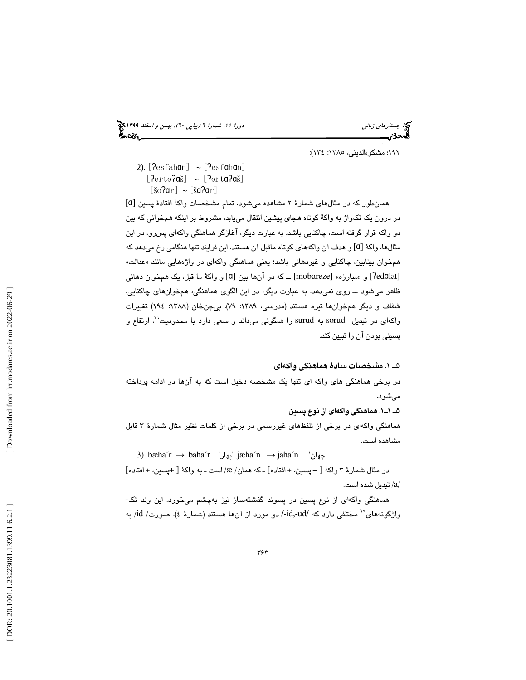جستار*هاي زباني (بياپي 60)، بهمن و اسفند 1*398 هجرا بياني دورة 11، شمارة 1 (پياپي ٢٠)، بهم*ن و اسفند 1*394 هج

۱۹۲: مشكوةالديني، ۱۳۸٥: ۱۳٤):

2). [ʔesfahɑn] ~ [ʔesfɑhɑn] [ $\text{Perte}\left[ \text{?}\right]$  ~ [ $\text{Pert}\left[ \text{?}\right]$  $[\check{\text{so}}\text{?ar}] \sim [\check{\text{sa}}\text{?ar}]$ 

[ ɑ همانطور كه در مثالهاي شمارة 2 مشاهده ميشود، تمام مشخصات واكة افتادة پسين [ در درون يك تكواژ به واكة كوتاه هجاي پيشين انتقال مييابد، مشروط بر اينكه همخواني كه بين دو واكه قرار گرفته است، چاكنايي باشد. به عبارت ديگر، آغازگر هماهنگي واكهاي پسرو، در اين مثالها، واكهٔ [ɑ] و هدف آن واكههاي كوتاه ماقبل آن هستند. اين فرايند تنها هنگامي رخ ميدهد كه همخوان بينابين، چاكنايي و غيردهاني باشد؛ يعني هماهنگي واكهاي در واژههايي مانند «عدالت» [Pedūlat] و «مبارزه» [mobareze] ــ كه در آنها بين [a] و واكهٔ ما قبل، يك همخوان دهاني ظاهر ميشود ــ روي نميدهد. به عبارت ديگر، در اين الگوي هماهنگي، همخوانهاي چاكنايي، شفاف و ديگر همخوانها تيره هستند (مدرسي، :1389 79). بيجنخان (:1388 194) تغييرات واكهاي در تبديل surud به surud را همگوني ميداند و سعي دارد با محدوديت<sup>٢</sup>٠، ارتفاع و پسيني بودن آن را تبيين كند.

### 5 1ـ . مشخصات سادة هماهنگي واكهاي

در برخي هماهنگي هاي واكه اي تنها يك مشخصه دخيل است كه به آنها در ادامه پرداخته ميشود.

5 1ـ1ـ . هماهنگي واكهاي از نوع پسين هماهنگي واكهاي در برخي از تلفظهاي غيررسمي در برخي از كلمات نظير مثال شمارة 3 قابل مشاهده است.

3). bæha´r → baha´r 'بهار 'jæha´n

در مثال شمارهٔ ۳ واكهٔ  $[-\csc z - 1]$  افتاده $[-2 \times 3]$  همان/  $\Re$ / است ــ به واكهٔ  $[+\csc z + 1]$ فتاده تبديل شده است. / a /

هماهنگي واكهاي از نوع پسين در پسوند گذشتهساز نيز بهچشم ميخورد. اين وند تك-واژگونههاي<sup>۷</sup>' مختلفي دارد كه /id-ud-/ دو مورد از آنها هستند (شمارهٔ ٤). صورت/ id/ به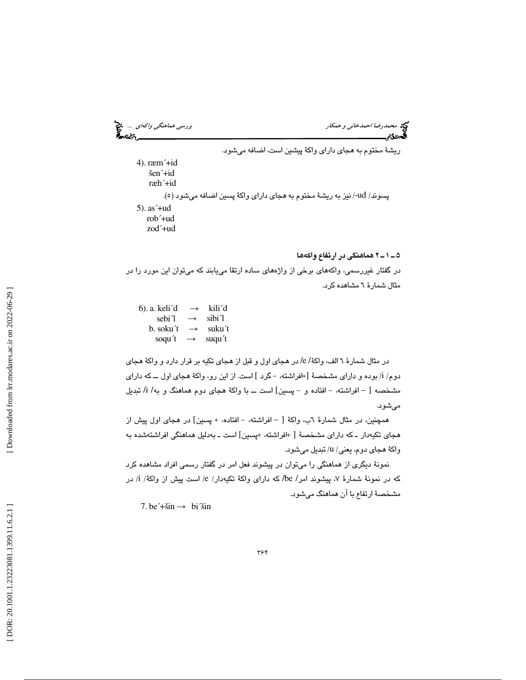محمد رضا احمدخاني و همكار بررسي هماهنگي *واكهاي ...*. چ<mark>خ</mark><br>المحمدرضا احمدخاني و همكار بررسي هماهنگي واكه بررسي هماهنگي واكه بررسي<br>المحمدری بررسي

ريشة مختوم به هجاي داراي واكة پيشين است، اضافه ميشود.

4). ræm´+id šen´+id ræh´+id پسوند/ ud-/ نيز به ريشهٔ مختوم به هجاي داراي واكهٔ پسين اضافه ميشود (٥). 5). as´+ud rob´+ud zod´+ud

2ـ 1ـ 5 هماهنگي در ارتفاع واكه ها

در گفتار غيررسمي، واكههاي برخي از واژههاي ساده ارتقا مييابند كه ميتوان اين مورد را در مثال شمارة 6 مشاهده كرد.

 6). a. keli´d  $\rightarrow$  kili<sup>'</sup>d sebi´l  $\rightarrow$  sibi<sup>1</sup> b. soku't  $\rightarrow$ suku´t soqu´t  $\rightarrow$  suqu't

در مثال شمارة 6 الف، واكة/ e/ در هجاي اول و قبل از هجاي تكيه بر قرار دارد و واكة هجاي دوم/ i/ بوده و دارای مشخصهٔ [+افراشته، – گرد ] است. از این رو، واكهٔ هجای اول ـــ كه دارای مشخصه [ – افراشته، – افتاده و – پسین] است ـــ با واکهٔ هجای دوم هماهنگ و به/ i/ تبدیل ميشود.

همچنين، در مثال شمارهٔ ٦ب، واكهٔ [ – افراشته، – افتاده، + پسين] در هجای اول پيش از هجای تکیهدار ــ که دارای مشخصهٔ [ +افراشته، +پسین] است ــ بهدلیل هماهنگی افراشتهشده به واكهٔ هجاي دوم، يعني/ u/ تبديل ميشود.

نمونة ديگري از هماهنگي را ميتوان در پيشوند فعل امر در گفتار رسمي افراد مشاهده كرد که در نمونهٔ شمارهٔ ۷، پیشوند امر/ be/ که دارای واکهٔ تکیهدار/ e/ است پیش از واکهٔ/ i/ در مشخصة ارتفاع با آن هماهنگ ميشود.

7. be $\leftrightarrow$ sin  $\rightarrow$  bi $\leftrightarrow$ sin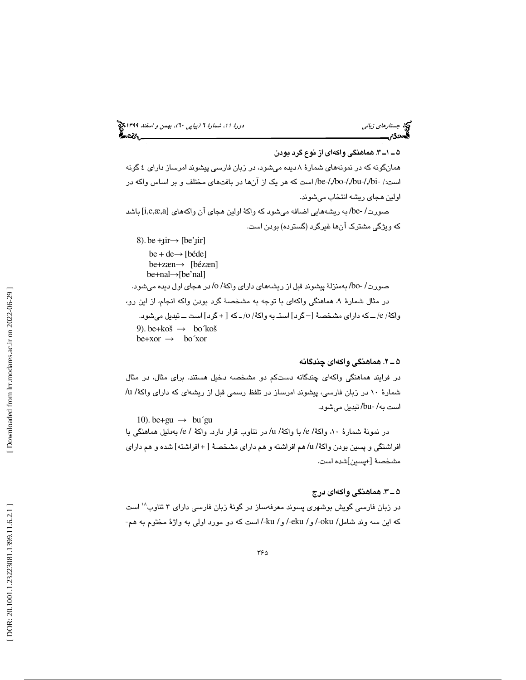جستار*هاي زباني (بياپي 60)، بهمن و اسفند 1*398 هجرا بياني دورة 11، شمارة 1 (پياپي ٢٠)، بهم*ن و اسفند 1*394 هج

3ـ 1ـ 5 . هماهنگي واكهاي از نوع گرد بودن همانگونه كه در نمونههاي شمارة 8 ديده ميشود، در زبان فارسي پيشوند امرساز داراي 4 گونه است/: -bi-/,/bu-/,/bo-/,/be/ است كه هر يك از آنها در بافتهاي مختلف و بر اساس واكه در اولين هجاي ريشه انتخاب ميشوند. صورت/ -be/ به ريشههايي اضافه ميشود كه واكة اولين هجاي آن واكههاي [a,æ,e,i [باشد كه ويژگي مشترك آنها غيرگرد (گسترده) بودن است.  $8$ ). be + $\text{jir} \rightarrow \text{[be'jir]}$ 

be + de→ [béde] be+zæn→ [bézæn] be+nal→[be'nal] صورت/ -bo/ به منزلة پيشوند قبل از ريشههاي داراي واكة/ o/ در هجاي اول ديده ميشود. در مثال شمارهٔ ۹، هماهنگی واكهای با توجه به مشخصهٔ گرد بودن واكه انجام، از این رو، واكهٔ/ e/ ـــ كه دارای مشخصهٔ [– گرد] استــ به واكهٔ/ o/ ــ كه [ + گرد] است ـــ تبدیل میشود. 9). be + koš  $\rightarrow$  bo koš  $be+xor \rightarrow bo'xor$ 

### 2ـ 5 . هماهنگي واكهاي چندگانه

در فرايند هماهنگي واكهاي چندگانه دستكم دو مشخصه دخيل هستند. براي مثال، در مثال شمارة 10 در زبان فارسي، پيشوند امرساز در تلفظ رسمي قبل از ريشهاي كه داراي واكة/ u/ است به/ -bu/ تبديل ميشود.

10). be +  $\text{gu} \rightarrow \text{bu} \text{'gu}$ در نمونة شمارة ،10 واكة/ e/ با واكة/ u/ در تناوب قرار دارد. واكة / e/ به دليل هماهنگي با افراشتگي و پسين بودن واكة/ u/ هم افراشته و هم داراي مشخصهٔ [ + افراشته] شده و هم داراي شده است. +پسين] مشخصة [

## 3ـ 5 . هماهنگي واكهاي درج

است <sup>18</sup> در زبان فارسي گويش بوشهري پسوند معرفهساز در گونة زبان فارسي داراي 3 تناوب كه اين سه وند شامل/ oku-/ و/ ku-/ و/ ku-/ است كه دو مورد اولي به واژهٔ مختوم به هم-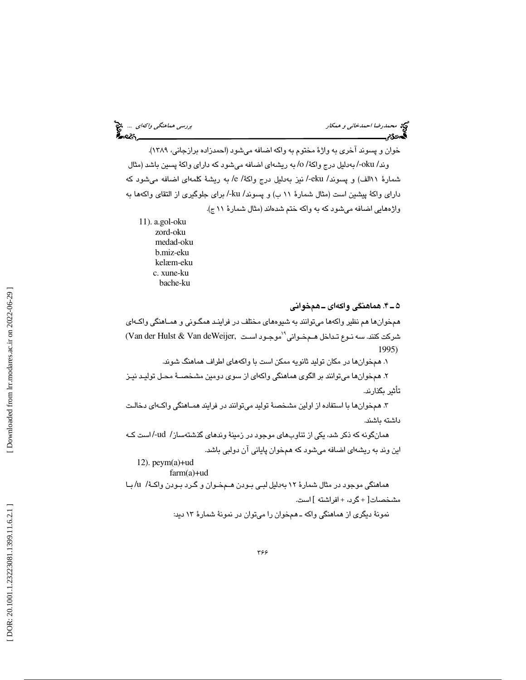خوان و پسوند آخري به واژة مختوم به واكه اضافه ميشود (احمدزاده برازجاني، 1389 ). وند/ oku-/ بهدليل درج واكة/ o/ به ريشهاي اضافه ميشود كه داراي واكهٔ پسين باشد (مثال شمارة 11الف) و پسوند/ eku/- نيز بهدليل درج واكة/ e/ به ريشة كلمهاي اضافه ميشود كه داراي واكة پيشين است (مثال شمارة 11 ب) و پسوند/ ku/- براي جلوگيري از التقاي واكهها به واژههايي اضافه ميشود كه به واكه ختم شدهاند (مثال شمارة 11 ج).

- 11). a.gol-oku
	- zord-oku medad-oku b.miz-eku kelæm-eku c. xune-ku bache-ku

4ـ 5 . هماهنگي واكهاي ـ همخواني

همخوانها هم نظير واكهها ميتوانند به شيوههاي مختلف در فراينـد همگـوني و همـاهنگي واكـه اي موجـود اسـت ,deWeijer Van & Hulst der Van (<sup>19</sup> شركت كنند. سه نـوع تـداخل هـم خـواني 1995)

۱. همخوانها در مكان توليد ثانويه ممكن است با واكههاى اطراف هماهنگ شوند.

. همخوانها ميتوانند بر الگوي هماهنگي واكهاي از سوي دومين مشخصـة محـل توليـد نيـز 2 تأثير بگذارند.

۳. همخوانها با استفاده از اولين مشخصهٔ توليد ميتوانند در فرايند همـاهنگي واكـهاي دخالـت داشته باشند.

همانگونه كه ذكر شد، يكي از تناوبهاي موجود در زمينة وندهاي گذشتهساز/ ud/- است كـه اين وند به ريشهاي اضافه ميشود كه همخوان پاياني آن دولبي باشد.

12). peym(a)+ud

 $farm(a)+ud$ 

هماهنگي موجود در مثال شمارة به 12 دليل لبـي بـودن هـم خـوان و گـرد بـودن واكـة / u/ بـا مشخصات[ + گرد، + افراشته ] است. نمونة ديگري از هماهنگي واكه ـ همخوان را ميتوان در نمونة شمارة 13 ديد:

Downloaded from lrr.modares.ac.ir on 2022-06-29]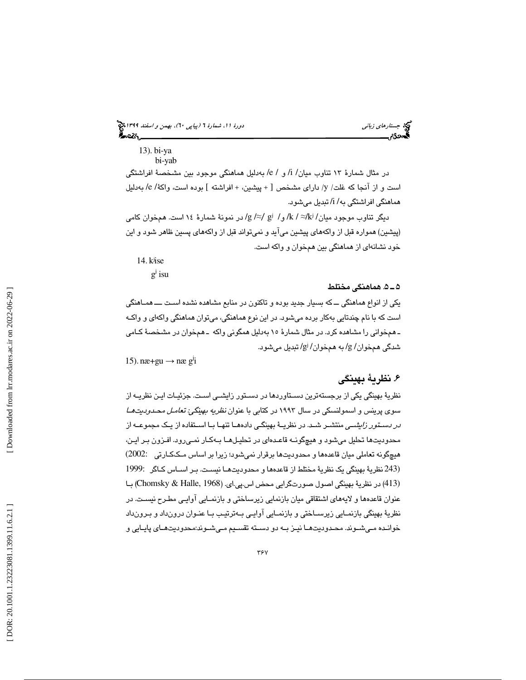13). bi-ya

bi-yab

در مثال شمارة 13 تناوب ميان/ i/ و / e/ به دليل هماهنگي موجود بين مشخصة افراشتگي است و از آنجا كه غلت/ y/ داراى مشخص [ + پيشين، + افراشته ] بوده است، واكهٔ/ e/ بهدليل هماهنگي افراشتگي به/ i/ تبديل ميشود.

دیگر تناوب موجود میان/ k / ≈/ki/ك ار / gi /≈/ در نمونهٔ شمارهٔ ۱۶ است. همخوان كامی (پيشين) همواره قبل از واكههاي پيشين ميآيد و نميتواند قبل از واكههاي پسين ظاهر شود و اين خود نشانهاي از هماهنگي بين همخوان و واكه است.

14 kʲise .

 $g^j$  isu

### 5ـ 5 . هماهنگي مختلط

يكي از انواع هماهنگي ــ كه بسيار جديد بوده و تاكنون در منابع مشاهده نشده اسـت ـــ همـاهنگي است كه با نام چندتايي بهكار برده ميشود. در اين نوع هماهنگي، ميتوان هماهنگي واكهاي و واكـه ـ همخواني را مشاهده كرد. در مثال شمارة به 15 دليل همگوني واكه ـ هم خوان در مشخصة كـامي شدگي همخوان/ g/ به همخوان/ g/ تبديل ميشود.

15). næ+gu  $\rightarrow$  næ g<sup>j</sup>i

# . نظرية بهينگي 6

نظرية بهينگي يكي از برجستهترين دسـتاوردها در دسـتور زايشـي اسـت. جزئيـات ايـن نظريــه از سوی پرينس و اسمولنسكي در سال ۱۹۹۳ در كتابي با عنوان *نظريه بهينگي: تعامـل محـدوديت هـا در دسـتور زايشـي* منتشـر شـد. در نظريــهٔ بهينگـي دادههـا تنهـا بـا اسـتفاده از يـك مجموعــه از محدوديتها تحليل ميشود و هيچگونـه قاعـده اي در تحليـل هـا بـه كـار نمـير ود. افـزون بـر ايـن، هيچگونه تعاملي ميان قاعدهها و محدوديتها برقرار نميشود؛ زيرا بر اساس مـك كـارتي 2002:) (243 نظرية بهينگي يك نظرية مختلط از قاعدهها و محدوديتهـا نيسـت. بـر اسـاس كـاگر 1999: (413) در نظرية بهينگي اصول صورتگرايي محض اس.پي.اي. (1968 ,Halle & Chomsky (بـا عنوان قاعدهها و لايههاي اشتقاقي ميان بازنمايي زيرساختي و بازنمـايي آوايـي مطـرح نيسـت. در نظرية بهينگي بازنمـايي زيرسـاختي و بازنمـايي آوايـي بـه ترتيـب بـا عنـوان درون داد و بـرون داد خوانـده مـيشـوند. محـدوديتهـا نيـز بـه دو دسـته تقسـيم مـيشـوند:محدوديتهـاي پايـايي و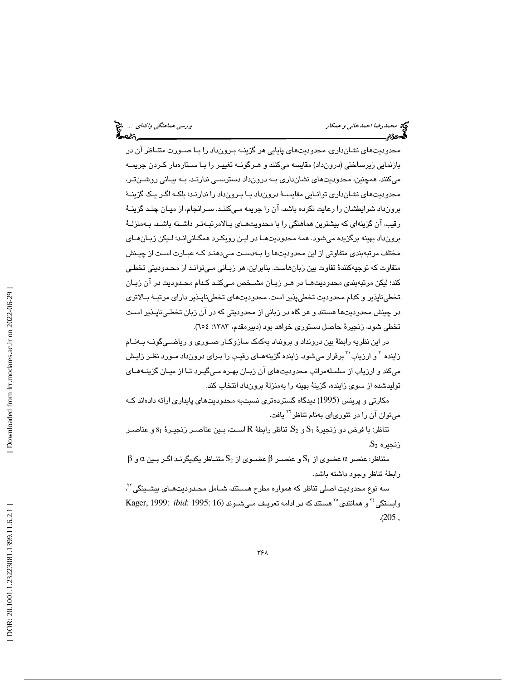محدوديتهاي نشانداري. محدوديتهاي پايايي هر گزينـه بـرون داد را بـا صـورت متنـاظر آن در بازنمايي زيرساختي (درونداد) مقايسه ميكنند و هـر گونـه تغييـر را بـا سـتاره دار كـردن جريمـه ميكنند. همچنين، محدوديتهاي نشانداري بـه درون داد دسترسـي ندارنـد. بـه بيـاني روشـن تـر، محدوديتهاي نشانداري توانـايي مقايسـة درون داد بـا بـرون داد را ندارنـد؛ بلكـه اگـر يـك گزينـة برونداد شرايطشان را رعايت نكرده باشد، آن را جريمه مـي كننـد. سـرانجام، از ميـان چنـد گزينـة رقيب، آن گزينهاي كه بيشترين هماهنگي را با محدويتهـاي بـالامرتبـهتـر داشـته باشـد، بـهمنزلـهٔ برونداد بهينه برگزيده ميشود. همة محدوديتهـا در ايـن رويكـرد همگـاني انـد؛ لـيكن زبـان هـاي مختلف مرتبه بندي متفاوتي از اين محدوديتها را بـه دسـت مـي دهنـد كـه عبـارت اسـت از چيـنش متفاوت كه توجيهكنندة تفاوت بين زبانهاست. بنابراين، هر زبـاني مـي توانـد از محـدوديتي تخطـي كند؛ ليكن مرتبهبندي محدوديتهـا در هـر زبـان مشـخص مـي كنـد كـدام محـدوديت در آن زبـان تخطيناپذير و كدام محدوديت تخطيپذير است. محدوديتهاي تخطيناپـذير داراي مرتبـة بـالاتري در چينش محدوديتها هستند و هر گاه در زباني از محدوديتي كه در آن زبان تخطـي ناپـذير اسـت تخطي شود، زنجيرة حاصل دستوري خواهد بود (دبيرمقدم، :1383 654 ).

در اين نظريه رابطة بين درونداد و برونداد بهكمك سازوكـار صـوري و رياضـي گونـه بـه نـام زاينده گو ارزياب $^{V}$  برقرار ميشود. زاينده گزينههـاي رقيـب را بـراي درونداد مـورد نظـر زايـش ميكند و ارزياب از سلسلهمراتب محدوديتهاي آن زبـان بهـره مـي گيـرد تـا از ميـان گزينـه هـاي توليدشده از سوي زاينده، گزينة بهينه را بهمنزلة برونداد انتخاب كند.

مكارتي و پرينس (1995) ديدگاه گستردهتري نسبتبه محدوديتهاي پايداري ارائه دادهاند كـه میتوان آن را در تئوریای بهنام تناظر<sup>۲۲</sup> یافت.

 $\mathrm{s}_1$  تناظر: با فرض دو زنجيرهٔ  $\mathrm{S}_1$  و  $\mathrm{S}_2$  تناظر رابطهٔ  $\mathrm{R}$  اسـت، بـين عناصـر زنجيـرهٔ  $\mathrm{s}_1$  و عناصـر  $\rm S_{2}$  زنجيره

 $\alpha$  متناظر: عنصر  $\alpha$  عضوى از  $\mathrm{S}_1$  و عنصـر  $\beta$  عضـوى از  $\mathrm{S}_2$  متنـاظر يكديگرنـد اگـر بـين  $\alpha$  و رابطة تناظر وجود داشته باشد.

سه نوع محدوديت اصلي تناظر كه همواره مطرح هسـتند، شــامل محـدوديتهـاي بيشـينگي "، هاستگي<sup>٢٤</sup> و همانندي<sup>50</sup> هستند كه در ادامه تعريـف مـي شـوند (16 :1995 *ibid*: 1995 وابستگي  $. (205,$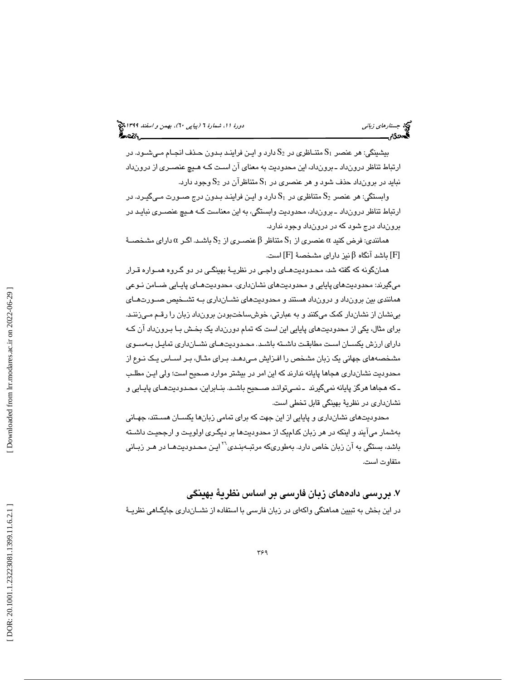# جستار*هاي زباني (بياپي 60)، بهمن و اسفند 1*398 هجرا بياني دورة 11، شمارة 1 (پياپي ٢٠)، بهم*ن و اسفند 1*394 هج

 $\rm S_{1}$  مت $\rm K_{2}$  متنـاظری در  $\rm S_{2}$  دارد و ايـن فراينـد بـدون حـذف انجـام مـيشـود. در ارتباط تناظر درونداد ـ برون داد، اين محدوديت به معناي آن اسـت كـه هـيچ عنصـري از درون داد نبايد در برونداد حذف شود و هر عنصري در  $\mathrm{S}_1$  متناظرآن در  $\mathrm{S}_2$  وجود دارد.

وابستگي: هر عنصر  $\mathrm{S_{2}}$  متناظري در  $\mathrm{S_{1}}$  دارد و ايـن فراينـد بـدون درج صـورت مـيگيـرد. در ارتباط تناظر درونداد ـ برون داد، محدوديت وابستگي، به اين معناست كـه هـيچ عنصـر ي نبايـد در برونداد درج شود كه در درونداد وجود ندارد.

همانندي: فرض كنيد  $\alpha$  عنصري از  $\mathrm{S}_1$  متناظر  $\beta$  عنصـري از  $\mathrm{S}_2$  باشـد. اگـر  $\alpha$  داراي مشـخصــهٔ ا باشد آنگاه  $\beta$ نيز داراي مشخصهٔ  $[ {\rm F} ]$  است.  $[ {\rm F} ]$ 

همانگونه كه گفته شد، محـدوديت هـاي واجـي در نظريـة بهينگـي در دو گـروه همـواره قـرار ميگيرند: محدوديتهاي پايايي و محدوديتهاي نشانداري. محدوديتهـاي پايـايي ضـامن نـوعي همانندي بين برونداد و درونداد هستند و محدوديتهاي نشـان داري بـه تشـخيص صـورت هـاي بينشان از نشاندار كمك ميكنند و به عبارتي، خوشساختبودن برونداد زبان را رقـم مـي زننـد. براي مثال، يكي از محدوديتهاي پايايي اين است كه تمام دورنداد يك بخـش بـا بـرون داد آن كـه داراي ارزش يكسـان اسـت مطابقت داشـته باشـد. محـدوديتهـاي نشـانداري تمايـل بـهسـوي مشخصههاي جهاني يك زبان مشخص را افـزايش مـي دهـد. بـراي مثـال، بـر اسـاس يـك نـوع از محدوديت نشانداري هجاها پايانه ندارند كه اين امر در بيشتر موارد صحيح است؛ ولي ايـن مطلـب ـ كه هجاها هرگز پايانه نميگيرند ـ نمـي توانـد صـحيح باشـد. بنـابراين، محـدوديت هـاي پايـايي و نشانداري در نظرية بهينگي قابل تخطي است.

محدوديتهاي نشان داري و پايايي از اين جهت كه براي تمامي زبانها يكسـان هسـتند، جهـاني بهشمار ميآيند و اينكه در هر زبان كداميك از محدوديتها بر ديگـري اولويـت و ارجحيـت داشـته باشد، بستگي به آن زبان خاص دارد. بهطوريكه مرتبـهبنـدي<sup>٢٦</sup> ايـن محـدوديتـهـا در هـر زبـان*ي* متفاوت است.

. بررسي دادههاي زبان فارسي بر اساس نظرية بهينگي 7 در اين بخش به تبيين هماهنگي واكهاي در زبان فارسي با استفاده از نشـان داري جايگـاهي نظريـة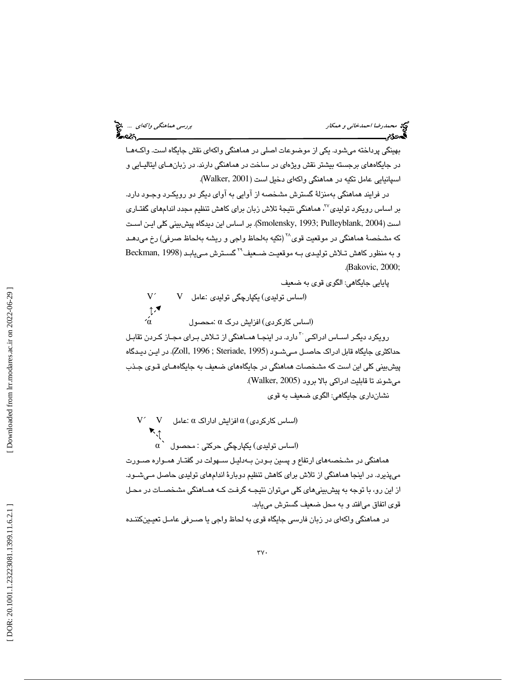|  | بررسی هماهنگ <i>ی واکهای</i> … منبع<br>۱۳۵۵ - |
|--|-----------------------------------------------|
|  |                                               |

 $\epsilon$ 

بهينگي پرداخته ميشود. يكي از موضوعات اصلي در هماهنگي واكهاي نقش جايگاه است. واكـه هـا در جايگاههاي برجسته بيشتر نقش ويژهاي در ساخت در هماهنگي دارند. در زبانهـاي ايتاليـايي و اسپانيايي عامل تكيه در هماهنگي واكهاي دخيل است ( 2001 ,Walker( .

در فرايند هماهنگي بهمنزلة گسترش مشخصه از آوايي به آواي ديگر دو رويكـرد وجـود دارد. بر اساس رويكرد توليدي<sup>٢٧</sup>، هماهنگي نتيجهٔ تلاش زبان براي كاهش تنظيم مجدد اندامهاي گفتـاري است (2004 ,Pulleyblank; 1993 ,Smolensky(. بر اساس اين ديدگاه پيشبيني كلي ايـن اسـت که مشخصهٔ هماهنگی در موقعیت قوی<sup>۲۸</sup> (تکیه بهلحاظ واجی و ریشه بهلحاظ صرفی) رخ مید*هـد* گسـترش مـي يابـد ( 1998 ,Beckman <sup>29</sup> و به منظور كاهش تـلاش توليـدي بـه موقعيـت ضـعيف .( Bakovic, 2000;

پايايي جايگاهي: الگوي قوي به ضعيف

$$
V' \t\t V \t\t U
$$
 (اساس تولیدی) یکپارچگی تولیدی :عامل  $V$   $↑$   $\blacklozenge$  (ساس کارکردی) اوزایش درک ∩ :محصول

رويكرد ديگـر اســاس ادراكـى َ <sup>۳</sup> دارد. در اينجـا همــاهنگى از تــلاش بـراى مجـاز كـردن تقابـل حداكثري جايگاه قابل ادراك حاصـل مـي شـود ( 1995 ,Steriade ; 1996 ,Zoll(. در ايـن ديـدگاه پيشبيني كلي اين است كه مشخصات هماهنگي در جايگاههاي ضعيف به جايگاههـاي قـوي جـذب ميشوند تا قابليت ادراكي بالا برود (2005 ,Walker (.

نشانداري جايگاهي: الگوي ضعيف به قوي

 $\rm V$ ´  $\rm V$  افزايش اداراک $\alpha$  :عامل  $\rm V$   $\sim$   $\rm V$  $\mathbf{R}$  $\alpha$  (اساس توليدي) يكپارچگي حركتي : محصول) هماهنگي در مشخصههاي ارتفاع و پسين بـودن بـه دليـل سـهولت در گفتـار همـواره صـورت ميپذيرد. در اينجا هماهنگي از تلاش براي كاهش تنظيم دوبارة اندامهاي توليدي حاصل مـي شـود. از اين رو، با توجه به پيشبينيهاي كلي ميتوان نتيجـه گرفـت كـه همـاهنگي مشخصـات در محـل قوي اتفاق ميافتد و به محل ضعيف گسترش مييابد.

در هماهنگي واكهاي در زبان فارسي جايگاه قوي به لحاظ واجي يا صـرفي عامـل تعيـين كننـده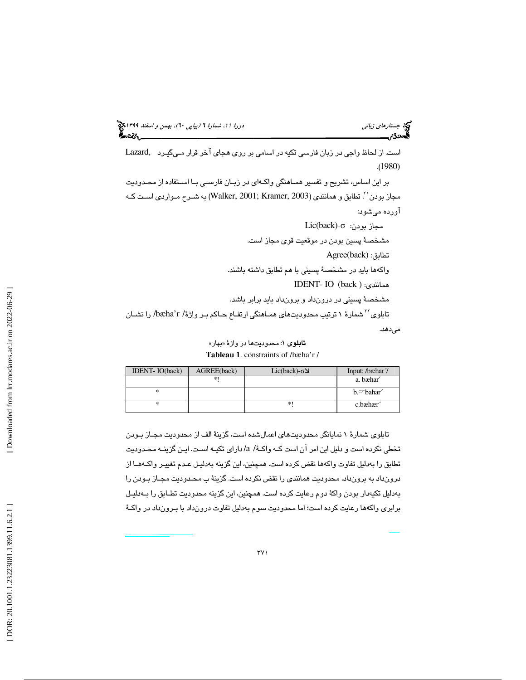# جستار*هاي زباني (بياپي 60)، بهمن و اسفند 1*398 هجرا بياني دورة 11، شمارة 1 (پياپي ٢٠)، بهم*ن و اسفند 1*394 هج

2F ،3 .+.) ١٣٨٩(. » 5ن، 1'د. (١٣٨٨). واج ر 2 : 2 : K-+< +'رV. "'< )١٣٩٢زن #ا\$) ). ١٣٩٣«). «>U\$ =وا-

است. از لحاظ واجي در زبان فارسي تكيه در اسامي بر روي هجاي آخر قرارمـي گيـرد ,Lazard .( 1980)

بر اين اساس، تشريح و تفسير همـاهنگي واكـه اي در زبـان فارسـي بـا اسـتفاده از محـدوديت ، مجاز بودن ``، تطابق و همانندي (2003 ,Walker, 2001) ,Kramer به شـرح مـواردي اسـت كـه آورده ميشود:

 Lic(back)- مجاز بودن: σ مشخصة پسين بودن در موقعيت قوي مجاز است. Agree(back) :تطابق واكهها بايد در مشخصة پسيني با هم تطابق داشته باشند. IDENT- IO (back ) :همانندي مشخصة پسيني در درونداد و برونداد بايد برابر باشد. شمارة 1 ترتيب محدوديتهاي همـاهنگي ارتفـاع حـاكم بـر واژة / r'bæha/ را نشـان <sup>32</sup> تابلوي ميدهد.

**تابلوی ۱:** محدودیتها در واژهٔ «بهار» **Tableau 1**. constraints of /bæha'r /

| <b>IDENT-IO(back)</b> | AGREE(back) | Lic(back)- $\sigma$ | Input: /bæhar/       |
|-----------------------|-------------|---------------------|----------------------|
|                       | $*1$        |                     | a. bæhar             |
| *                     |             |                     | $b$ . $\circ$ bahar  |
| *                     |             | *                   | c.bæhær <sup>2</sup> |

تابلوي شمارة 1 نمايانگر محدوديتهاي اعمالشده است، گزينة الف از محدوديت مجـاز بـودن تخطي نكرده است و دليل اين امر آن است كـه واكـة / a/ داراي تكيـه اسـت. ايـن گزينـه محـدوديت تطابق را بهدليل تفاوت واكهها نقض كرده است. همچنين، اين گزينه بهدليـل عـدم تغييـر واكـه هـا از درونداد به برونداد، محدوديت همانندي را نقض نكرده است. گزينة ب محـدوديت مجـاز بـودن را هب دليل تكيهدار بودن واكة دوم رعايت كرده است. همچنين، اين گزينه محدوديت تطـابق را بـه دليـل برابري واكهها رعايت كرده است؛ اما محدوديت سوم بهدليل تفاوت درونداد با بـرون داد در واكـة

:Xا ف.+U/+ا :ان >&. «.)<sup>١٣٩٥</sup> نز 2\$وا9 C5 ).\'\$ Xر +G و ز F+& ،نSده +ر: c ه: .)١٣٨ (^.ي& ،2\$ Hا .)١٣٩٣( .1.F+Gة'Z.Bakovic, E.(200 0). Harmony, Dominance, and Control. Beckm an, Jill. 199 8. Positional Faithfulness. PhD. Choms ky, Noam and Morris Halle. (1968). *The Sound Patter n of En glish* d issertatio n, University of Massachusetts,Am herst. PhD thesis Rutgers University . [ROA-2 34.] Clements, G. N. & E. Sezer.( 1982). Vowel con so Crosswhite, K. (2004). Vowel reduction, in Hay es, Bnant dis harm ony in Turkish. In Harry van der Huls . Cambridge: MIT Press. t and Norval Sm ith(eds.) The s tructure of phonological representation sII. Dordrecht, Foris, pp.213-25 5. Harris, J. (2005). Vowel reductio n as information loss. In P. Carr, J. Durand & C. J. Ewen (eds.), ., et al. "Phonetically based phonology ", Cambridge *Headhood, Elements, Specification and Contr astivity* : Cam bridge University Press, 191-231. E llosion, T. Mar k. 1995. Phonological Derivation in Optimality Theory . MS, University of Edinburg. Hy man. L. (2002). Is there a Right -to-left Bias in , 119−132. Am sterdam: John Benjam ins. Vowel Harm ony ? Presented at the 9th Kager,R.(1999). *Optimalty theory* International Phonology Meeting.Vienna. . Cambridge: Cam bridge University Press. Kräm er, Martin. (2003). Lass, Roger. 198 4 .*Phonology: An Introduction to Basic Concepts Vowel Harmony and Correspo ndence Theory*. Berlin: Mouto n de Gruy ter. Laver, J.( 1995) . *Principls of Phonetics* . Cam bridg: Cambridge University Press. Lazard, Gilbert. (198 0).*Grammar o f C ontempor ary Persia n* . Cam bridge: Cambridge University Press. *Lloret, Maria-Ro sa* . California: Ma zda McCarthy , John.(2002). McCarthy, J and Alan Prince. (1995). Faithfulness a McCarthy, and Alan Prince. (1993). Generalized Alig .(2007). *A thematic Guide to Op timality Theory "On the Nature of Vowel Ha rmony: Spreading w ith a* nd Redup licative Identity .UMOP.18,249-384. . Cambridge: Cam bridge University Press. *Purpose", in Bisetto, Antonietta; Barbier i, Francesco, Proceedings of the XXXIII Incontro di Grammatica Generativa, pp. 15 –35* Prince, Alan and Paul Smolens ky . (1993). Optim ality nm ent. In G.E. Bo oij and J. van m ark.(eds.), *Year book o f Morph ology*.79-153.Dordrecht. Pulley blank, D. (200 4). A note on tonal m arkednes s in Yoruba. Theory : Constrain t Interaction in Generative Gramm *Phonology* ar. RuCC S Technical Report #1, Rutgers Center for Cognitive Science, Rutgers Un iversity , Piscataway , NJ. [To appear, MIT Press, Cambridge.] Roca,I.& W . Johnson.(200 5). *A course in phono logy*, 21:4 09–425 . Shadem an, Shabnam .(2002). Epenthetic Vowel Harmony . New Jersey : Wiley -Blackwell. Sm olens ky , P. (1993). "Harmony , Markedness, and Pho Steriade, D.(1995). Underspecification and Mar kednevan der Hulst, Harry and Jereon van de W eijer. (1995). Vowel Harmony . In J. Goldsm ith (ed.), ss. In Go ldsm it, J ., editor, nolog ical Activity", paper presented at the First R in Farsi. M.A., U CLA University . *The Handbook of Phonological Theory The Handb ook of Ph onolo gical Theory* utgers Optimality W orkshop (ROW 1), Rutgers Univers ,Pages 114-174. Blackwell. ity, New Brunswic k. W alker, R.(2001). 'Po sitional Markedness in Vowel HW alker, R. (2005). W eak Triggers in Vowel Harmony. arm ony '. In: Proceedings of HILP 5. Ling uistics in *Natural Language and Ling uistic Theory* Potsdam. , 495-53 4. Oxford: Basil Blackwell. right, J. T. (1986). The Behavior of Nasalized Vowels in The Perceptual Vowel Space. In 2 3, 917-98 9. Zoll, Chery l. (1996). Parsing below the Segment in a Co nstraint-based Fram ework. Ph.D Dis setation, Un *Experimental P honology* iversity of California, Ber keley . , edited by J. J. Ohala and J. J. Jaeger. Orlando: Academ ic Press, 45-67.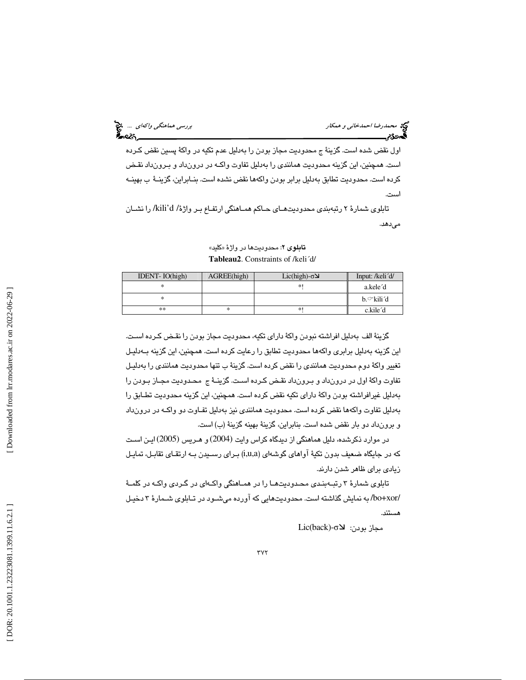اول نقض شده است. گزينة ج محدوديت مجاز بودن را بهدليل عدم تكيه در واكة پسين نقض كـرده است. همچنين، اين گزينه محدوديت همانندي را بهدليل تفاوت واكـه در درون داد و بـرون داد نقـض كرده است. محدوديت تطابق بهدليل برابر بودن واكهها نقض نشده است. بنـابراين، گزينـة ب بهينـه است.

تابلوي شمارة 2 رتبهبندي محدوديتهـاي حـاكم همـاهنگي ارتفـاع بـر واژة / d'kili/ را نشـان مي دهد.

**تابلوی ۲**: محدودیتها در واژهٔ «کلید» **Tableau2**. Constraints of /keli´d/

| IDENT-IO(high) | AGREE(high) | Lic(high)- $\sigma$ | Input: /keli <sup>'</sup> d/ |
|----------------|-------------|---------------------|------------------------------|
|                |             | *1                  | a.kele'd                     |
|                |             |                     | b.∽kili′d                    |
| $***$          | ∗           | *!                  | c.kile <sup>2</sup> d        |

گزينة الف بهدليل افراشته نبودن واكة داراي تكيه، محدوديت مجاز بودن را نقـض كـرده اسـت. اين گزينه بهدليل برابري واكهها محدوديت تطابق را رعايت كرده است. همچنين، اين گزينه بـه دليـل تغيير واكة دوم محدوديت همانندي را نقض كرده است. گزينة ب تنها محدوديت همانندي را بهدليـل تفاوت واكة اول در درونداد و بـرون داد نقـض كـ رده اسـت. گزينـة ج محـدوديت مجـاز بـودن را بهدليل غيرافراشته بودن واكة داراي تكيه نقض كرده است. همچنين، اين گزينه محدوديت تطـابق را بهدليل تفاوت واكهها نقض كرده است. محدوديت همانندي نيز بهدليل تفـاوت دو واكـه در درون داد و برونداد دو بار نقض شده است. بنابراين، گزينة بهينه گزينة (ب) است.

در موارد ذكرشده، دليل هماهنگي از ديدگاه كراس وايت (2004) و هـريس (2005) ايـن اسـت كه در جايگاه ضعيف بدون تكية آواهاي گوشهاي (a,u,i (بـراي رسـيدن بـه ارتقـاي تقابـل، تمايـل زيادي براي ظاهر شدن دارند.

تابلوي شمارة 3 رتبـه بنـدي محـدوديت هـا را در همـاهنگي واكـه اي در گـردي واكـه در كلمـة /xor+bo/ به نمايش گذاشته است. محدوديتهايي كه آورده ميشـود در تـابلوي شـمارة 3 دخيـل هستند.

Lic(back)- σ مجاز بودن: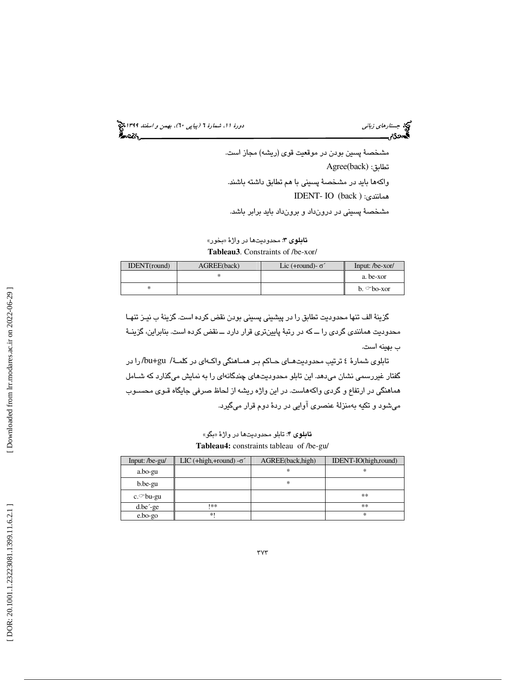جستار*هاي زباني (بياپي 60)، بهمن و اسفند 1*398 هجرا بياني دورة 11، شمارة 1 (پياپي ٢٠)، بهم*ن و اسفند 1*394 هج

مشخصة پسين بودن در موقعيت قوي (ريشه) مجاز است. Agree(back) :تطابق واكهها بايد در مشخصة پسيني با هم تطابق داشته باشند. IDENT- IO (back ) :همانندي مشخصة پسيني در درونداد و برونداد بايد برابر باشد.

**تابلوی ۳**: محدوديتها در واژهٔ «بخور» **Tableau3**. Constraints of /be-xor/

| IDENT(round) | AGREE(back) | Lic (+round)- $\sigma'$ | Input: /be-xor/   |
|--------------|-------------|-------------------------|-------------------|
|              |             |                         | a. be-xor         |
| ∗            |             |                         | $h \circ b$ o-xor |

گزينة الف تنها محدوديت تطابق را در پيشيني پسيني بودن نقض كرده است. گزينة ب نيـز تنهـا محدوديت همانندي گردي را ــ كه در رتبة پايينتري قرار دارد ــ نقض كرده است. بنابراين، گزينـة ب بهينه است.

تابلوي شمارهٔ ٤ ترتيب محدوديتهـاي حـاكم بـر همـاهنگي واكـهاي در كلمـهٔ/ bu+gu/ را در گفتار غيررسمي نشان ميدهد. اين تابلو محدوديتهاي چندگانهاي را به نمايش ميگذارد كه شـامل هماهنگي در ارتفاع و گردي واكههاست. در اين واژه ريشه از لحاظ صرفي جايگاه قـوي محسـوب ميشود و تكيه بهمنزلة عنصري آوايي در ردة دوم قرار ميگيرد.

**تابلوي ۴**: تابلو محدوديتها در واژهٔ «بگو» **Tableau4:** constraints tableau of /be-gu/

| LIC (+high,+round) $-\sigma$ | AGREE(back, high) | IDENT-IO(high,round) |
|------------------------------|-------------------|----------------------|
|                              | *                 | ∗                    |
|                              | *                 |                      |
|                              |                   | **                   |
| **                           |                   | **                   |
| $*1$                         |                   | ∗                    |
|                              |                   |                      |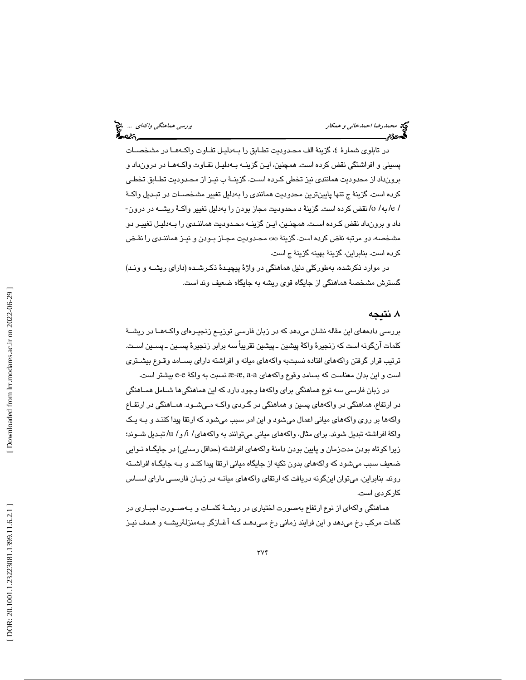در تابلوي شمارهٔ ٤، گزينهٔ الف محـدوديت تطـابق را بـهدليـل تفـاوت واكـههـا در مشخصـات پسيني و افراشتگي نقض كرده است. همچنين، ايـن گزينـه بـه دليـل تفـاوت واكـه هـا در درون داد و برونداد از محدوديت همانندي نيز تخطي كـرده اسـت. گزينـة ب نيـز از محـدوديت تطـابق تخطـي كرده است. گزينة ج تنها پايينترين محدوديت همانندي را بهدليل تغيير مشخصـات در تبـديل واكـة / e/ به / o/ نقض كرده است. گزينة د محدوديت مجاز بودن را بهدليل تغيير واكـة ريشـه در درون - داد و برونداد نقض كـرده اسـت. همچنـين، ايـن گزينـه محـدوديت هماننـدي را بـه دليـل تغييـر دو مشخصه، دو مرتبه نقض كرده است. گزينة »ه« محـدوديت مجـاز بـودن و نيـز هماننـدي را نقـض كرده است. بنابراين، گزينة بهينه گزينة ج است.

در موارد ذكرشده، بهطوركلي دليل هماهنگي در واژة پيچيـدة ذكـر شـده (داراي ريشـه و ونـد) گسترش مشخصة هماهنگي از جايگاه قوي ريشه به جايگاه ضعيف وند است.

# . نتيجه 8

بررسي دادههاي اين مقاله نشان ميدهد كه در زبان فارسي توزيـع زنجيـره اي واكـه هـا در ريشـة كلمات آنگونه است كه زنجيرة واكة پيشين ـ پيشين تقريباً سه برابر زنجيرة پسـين ـ پسـين اسـت. ترتيب قرار گرفتن واكههاي افتاده نسبتبه واكههاي ميانه و افراشته داراي بسـامد وقـوع بيشـتري است و اين بدان معناست كه بسامد وقوع واكههاي a-a ,æ-æ نسبت به واكة e-e بيشتر است.

در زبان فارسي سه نوع هماهنگي براي واكهها وجود دارد كه اين هماهنگيها شـامل همـاهنگي در ارتفاع، هماهنگي در واكههاي پسين و هماهنگي در گـردي واكـه مـي شـود. همـاهنگي در ارتفـاع واكهها بر روي واكههاي مياني اعمال ميشود و اين امر سبب ميشود كه ارتقا پيدا كننـد و بـه يـك واكة افراشته تبديل شوند. براي مثال، واكههاي مياني ميتوانند به واكههاي/ i/ و / u/ تبـديل شـوند؛ زيرا كوتاه بودن مدتزمان و پايين بودن دامنة واكههاي افراشته (حداقل رسايي) در جايگـاه نـوايي ضعيف سبب ميشود كه واكههاي بدون تكيه از جايگاه مياني ارتقا پيدا كنـد و بـه جايگـاه افراشـته روند. بنابراين، ميتوان اينگونه دريافت كه ارتقاي واكههاي ميانـه در زبـان فارسـي داراي اسـاس كاركردي است.

هماهنگي واكهاي از نوع ارتفاع بهصورت اختياري در ريشـة كلمـات و بـه صـورت اجبـاري در كلمات مركب رخ ميدهد و اين فرايند زماني رخ مـي دهـد كـه آغـازگر بـه منزلةريشـه و هـدف نيـز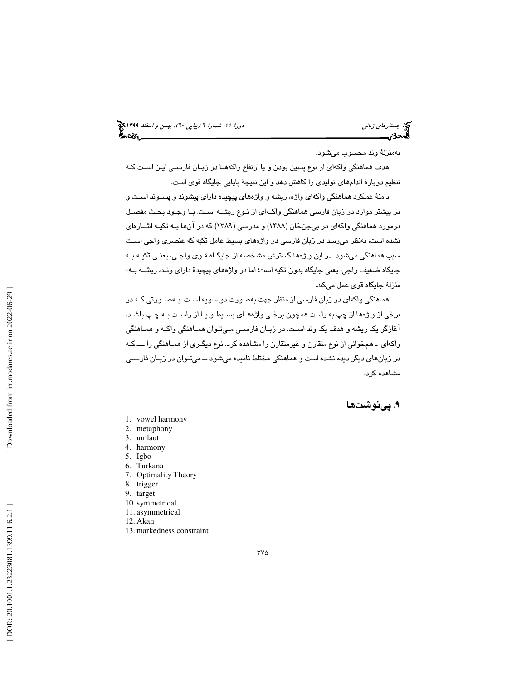# جستار*هاي زباني (بياپي 60)، بهمن و اسفند 1*398 هجرا بياني دورة 11، شمارة 1 (پياپي ٢٠)، بهم*ن و اسفند 1*394 هج

بهمنزلة وند محسوب ميشود.

هدف هماهنگي واكهاي از نوع پسين بودن و يا ارتفاع واكههـا در زبـان فارسـي ايـن اسـت كـه تنظيم دوبارة اندامهاي توليدي را كاهش دهد و اين نتيجة پايايي جايگاه قوي است.

دامنة عملكرد هماهنگي واكهاي واژه، ريشه و واژههاي پيچيده داراي پيشوند و پسـوند اسـت و در بيشتر موارد در زبان فارسي هماهنگي واكـه اي از نـوع ريشـه اسـت. بـا وجـود بحـث مفصـل درمورد هماهنگي واكهاي در بيجنخان (1388) و مدرسي (1389) كه در آنها بـه تكيـه اشـاره اي نشده است، بهنظر ميرسد در زبان فارسي در واژههاي بسيط عامل تكيه كه عنصري واجي اسـت سبب هماهنگي ميشود. در اين واژهها گسترش مشخصه از جايگـاه قـوي واجـي، يعنـي تكيـه بـه جايگاه ضعيف واجي، يعني جايگاه بدون تكيه است؛ اما در واژههاي پيچيدة داراي ونـد، ريشـه بـه - منزلة جايگاه قوي عمل ميكند.

هماهنگي واكهاي در زبان فارسي از منظر جهت بهصورت دو سويه اسـت. بـه صـورتي كـه در برخي از واژهها از چپ به راست همچون برخـي واژه هـاي بسـيط و يـا از راسـت بـه چـپ باشـد، آغازگر يك ريشه و هدف يك وند اسـت. در زبـان فارسـي مـي تـوان همـاهنگي واكـه و همـاهنگي واكهاي ـ هم خواني از نوع متقارن و غيرمتقارن را مشاهده كرد. نوع ديگـري از همـاهنگي را ـــ كـه در زبانهاي ديگر ديده نشده است و هماهنگي مختلط ناميده ميشود ــ ميتـوان در زبـان فارسـي مشاهده كرد.

# ۹. پینوشتها

- 1. vowel harmony
- 2. metaphony
- 3. umlaut
- 4. harmony
- 5. Igbo
- 6. Turkana
- 7. Optimality Theory
- 8. trigger
- 9. target
- 10.symmetrical
- 11. asymmetrical 12. Akan
- 
- 13. markedness constraint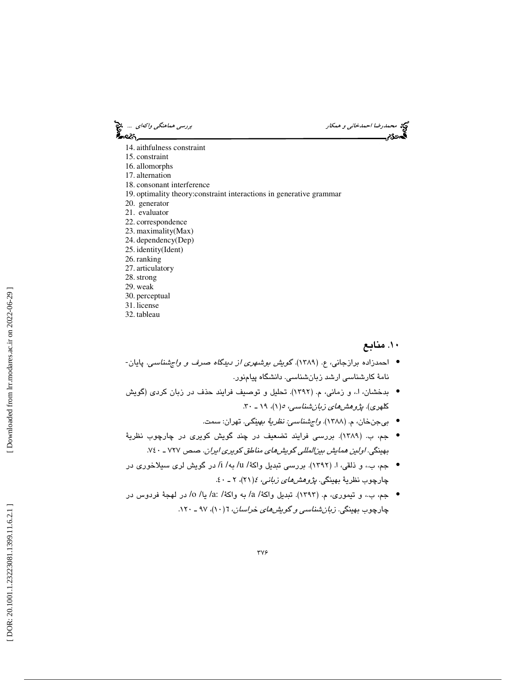محمد رضا احمدخان*ي و همكار بررسي هماهنگي واكهاي ...*. چ<mark>خ</mark><br>محمدرضا احم*دخاني و همكار*<br>**الحمدودیم بررسي بررسي بررسي همان بررسي هماهنداري بررسي هماهنداري بررسي هماهنداري بررسي هماهنداري بررسي هم** આવ્ે

- 14. aithfulness constraint
- 15. constraint
- 16. allomorphs
- 17. alternation
- 18. consonant interference
- 19. optimality theory:constraint interactions in generative grammar
- 20. generator
- 21. evaluator
- 22. correspondence 23. maximality(Max)
- 24. dependency(Dep)
- 25. identity(Ident)
- 26. ranking
- 27. articulatory
- 28.strong
- 29. weak
- 30. perceptual
- 31. license
- 32. tableau

# .10 منابع

- احمدزاده برازجانی، ع. (۱۳۸۹). گ*ویش بوشهری از دیدگاه صرف و واجشناسی*. پایان-نامهٔ كارشناسي ارشد زبانشناسي. دانشگاه پيامنور.
- بدخشان، ا.، و زماني، م. (١٣٩٢). تحليل و توصيف فرايند حذف در زبان كردي (گويش كلهری). *پژوهشهای زبان شناسی، ه(۱)، ۱۹ ـ ۳۰*.
	- بيجنخان، م. (١٣٨٨). *واجشناسي: نظريةُ به*ين*گي*. تهران: سمت.
- جم، ب. (١٣٨٩). بررسی فرايند تضعيف در چند گويش كويرى در چارچوب نظريهٔ بهينگي . اولين همايش بينالمللي گويشهاي مناطق كويري ايران. صص 727 ـ 740 .
- جم، ب.، و ذلقي، ا. (١٣٩٢). بررسي تبديل واكة/ u/ به/ i/ در گويش لري سيلاخوري در چارچوب نظريهٔ بهينگي. *پژوهشهاي زباني، ٤(*٢١)، ٢ ـ ٤٠.
- ه جم، ب.، و تيموري، م. (١٣٩٣). تبديل واكة/ a: /2 به واكة/ a: /2/ يا/ 0/ در لهجة فردوس در چارچوب بهینگی. *زبان شناسی و گویشهای خراسان*، ۱(۱۰)، ۹۷ ـ ۱۲۰.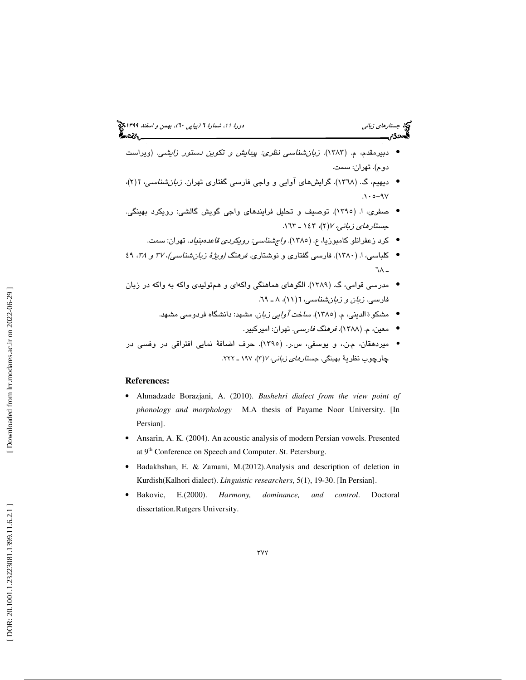- دبيرمقدم، م. (١٣٨٣). *زبان شناسي نظري: پيدايش و تكوين دستور زايشي.* (ويراست دوم). تهران: سمت.
- دیهیم، گ. (۱۳٦۸). گرایشهای آوایی و واجی فارسی گفتاری تهران. *زبان شناسی*، ۲(۲)،  $.10 - 9V$
- صفري، ا. (١٣٩٥). توصيف و تحليل فرايندهاي واجي گويش گالشي: رويكرد بهينگي. جستارهاي زباني ،7 2( )، 143 ـ 163 .
	- كرد زعفرانلو كامبوزيا، ع. (١٣٨٥). *واجشناسي: رويكردي قاعدهبنياد*. تهران: سمت.
- كلباسي، ا. (١٣٨٠). فارسي گفتاري و نوشتاري. *فرهنگ (ويژهٔ زبان شناسي)، ٣٧ و ٢*٦، ٤٩ ـ ٧٨
- مدرسي قوامي، ( گ. 1389). الگوهاي هماهنگي واكهاي و همتوليدي واكه به واكه در زبان فارسی. *زبان و زبانشناسی،* ٦( ۱۱)، ۸ ـ ٦٩.
	- مشكو ة الديني، م. (١٣٨٥). *سا*خت *آوايي زبان*. مشهد: دانشگاه فردوسي مشهد.
		- معين، م. ( 1388). فرهنگ فارسي. تهران: اميركبير. •
- میردهقان، م.ن.، و یوسفی، س.ر. (١٣٩٥). حرف اضافهٔ نمایی افتراقی در وفسی در چارچوب نظرية بهينگي. *جستارهاي زباني، ٢ (٣)، ١٩٧ ـ ٢٢٢*.

### **References:**

- Ahmadzade Borazjani, A. (2010). *Bushehri dialect from the view point of phonology and morphology* M.A thesis of Payame Noor University. [In Persian].
- Ansarin, A. K. (2004). An acoustic analysis of modern Persian vowels. Presented at 9<sup>th</sup> Conference on Speech and Computer. St. Petersburg.
- Badakhshan, E. & Zamani, M.(2012).Analysis and description of deletion in Kurdish(Kalhori dialect). *Linguistic researchers* , 5(1), 19-30. [In Persian].
- Bakovic, E.(2000). *Harmony, dominance, and control*. Doctoral dissertation.Rutgers University.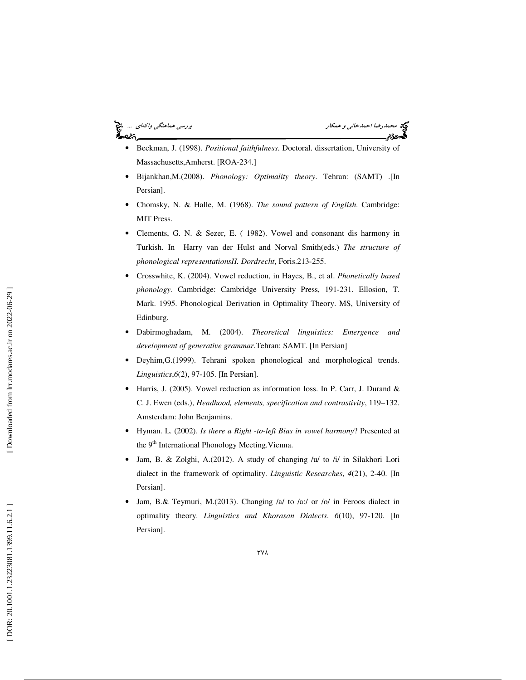محمدرضا احم*دخاني و همكار بررسي هماهنگي واكهاي* ... چ<mark>خ</mark><br>محمدرضا احم*دخاني و همكار*<br>**گيهدي:** ಹಿಂದಿ

- Beckman, J. (1998). *Positional faithfulness*. Doctoral. dissertation, University of Massachusetts,Amherst. [ROA-234.]
- Bijankhan,M.(2008). *Phonology: Optimality theory*. Tehran: (SAMT) .[In Persian].
- Chomsky, N. & Halle, M. (1968). *The sound pattern of English*. Cambridge: MIT Press.
- Clements, G. N. & Sezer, E. ( 1982). Vowel and consonant dis harmony in Turkish. In Harry van der Hulst and Norval Smith(eds.) *The structure of phonological representationsII. Dordrecht*, Foris.213-255.
- Crosswhite, K. (2004). Vowel reduction, in Hayes, B., et al. *Phonetically based phonology.* Cambridge: Cambridge University Press, 191-231. Ellosion, T. Mark. 1995. Phonological Derivation in Optimality Theory. MS, University of Edinburg.
- Dabirmoghadam, M. (2004). *Theoretical linguistics: Emergence and development of generative grammar.*Tehran: SAMT. [In Persian]
- Deyhim,G.(1999). Tehrani spoken phonological and morphological trends. *Linguistics* , *6*(2), 97-105. [In Persian].
- Harris, J. (2005). Vowel reduction as information loss. In P. Carr, J. Durand & C. J. Ewen (eds.), *Headhood, elements, specification and contrastivity*, 119−132. Amsterdam: John Benjamins.
- Hyman. L. (2002). *Is there a Right -to-left Bias in vowel harmony*? Presented at the 9<sup>th</sup> International Phonology Meeting. Vienna.
- Jam, B. & Zolghi, A.(2012). A study of changing /u/ to /i/ in Silakhori Lori dialect in the framework of optimality. *Linguistic Researches* , *4*(21), 2-40. [In Persian].
- Jam, B.& Teymuri, M.(2013). Changing /a/ to /a:/ or /o/ in Feroos dialect in optimality theory. *Linguistics and Khorasan Dialects* . *6*(10), 97-120. [In Persian].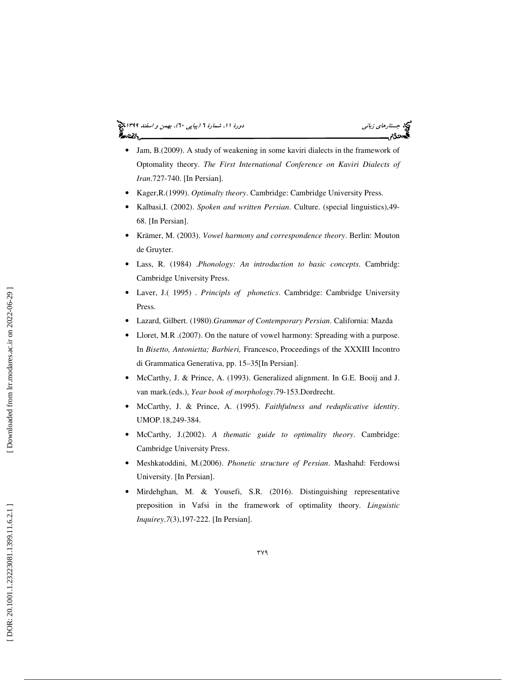### جستار*هاي زباني (بياپي 60)، بهمن و اسفند 1*398 هجرا بياني دورة 11، شمارة 1 (پياپي ٢٠)، بهم*ن و اسفند 1*394 هج أحصركم



- Jam, B.(2009). A study of weakening in some kaviri dialects in the framework of Optomality theory. *The First International Conference on Kaviri Dialects of Iran*.727-740. [In Persian].
- Kager,R.(1999). *Optimalty theory*. Cambridge: Cambridge University Press.
- Kalbasi,I. (2002). *Spoken and written Persian*. Culture. (special linguistics),49- 68. [In Persian].
- Krämer, M. (2003). *Vowel harmony and correspondence theory*. Berlin: Mouton de Gruyter.
- Lass, R. (1984) .*Phonology: An introduction to basic concepts*. Cambridg: Cambridge University Press.
- Laver, J.( 1995) . *Principls of phonetics*. Cambridge: Cambridge University Press.
- Lazard, Gilbert. (1980).*Grammar of Contemporary Persian*. California: Mazda
- Lloret, M.R .(2007). On the nature of vowel harmony: Spreading with a purpose. In *Bisetto, Antonietta; Barbieri,* Francesco, Proceedings of the XXXIII Incontro di Grammatica Generativa, pp. 15–35[In Persian].
- McCarthy, J. & Prince, A. (1993). Generalized alignment. In G.E. Booij and J. van mark.(eds.), *Year book of morphology*.79-153.Dordrecht.
- McCarthy, J. & Prince, A. (1995). *Faithfulness and reduplicative identity*. UMOP.18,249-384.
- McCarthy, J.(2002). *A thematic guide to optimality theory*. Cambridge: Cambridge University Press.
- Meshkatoddini, M.(2006). *Phonetic structure of Persian*. Mashahd: Ferdowsi University. [In Persian].
- Mirdehghan, M. & Yousefi, S.R. (2016). Distinguishing representative preposition in Vafsi in the framework of optimality theory. *Linguistic Inquirey* . *7*(3),197-222. [In Persian].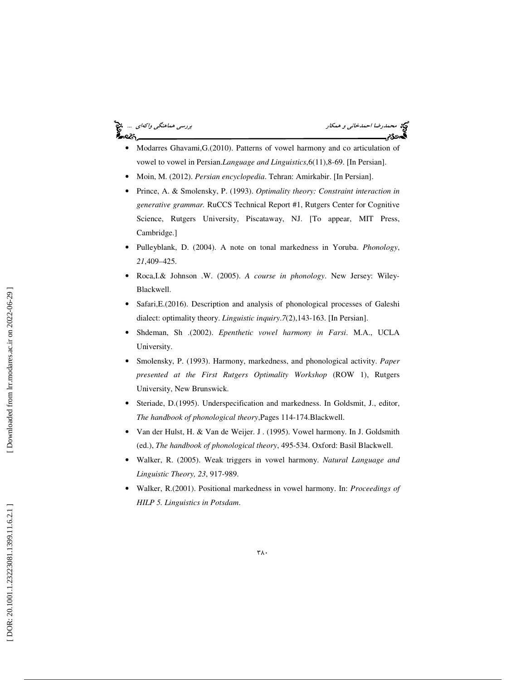## محمدرضا احم*دخاني و همكار بررسي هماهنگي واكهاي* ... چ<mark>خ</mark><br>محمدرضا احم*دخاني و همكار*<br>**گيهدي:** ا⊷د%.

- Modarres Ghavami,G.(2010). Patterns of vowel harmony and co articulation of vowel to vowel in Persian.*Language and Linguistics*,6(11),8-69. [In Persian].
- Moin, M. (2012). *Persian encyclopedia*. Tehran: Amirkabir. [In Persian].
- Prince, A. & Smolensky, P. (1993). *Optimality theory: Constraint interaction in generative grammar.* RuCCS Technical Report #1, Rutgers Center for Cognitive Science, Rutgers University, Piscataway, NJ. [To appear, MIT Press, Cambridge.]
- Pulleyblank, D. (2004). A note on tonal markedness in Yoruba. *Phonology*, *21*,409–425.
- Roca,I.& Johnson .W. (2005). *A course in phonology*. New Jersey: Wiley-Blackwell.
- Safari, E. (2016). Description and analysis of phonological processes of Galeshi dialect: optimality theory. *Linguistic inquiry* . *7*(2),143-163. [In Persian].
- Shdeman, Sh .(2002). *Epenthetic vowel harmony in Farsi*. M.A., UCLA University.
- Smolensky, P. (1993). Harmony, markedness, and phonological activity. *Paper presented at the First Rutgers Optimality Workshop* (ROW 1), Rutgers University, New Brunswick.
- Steriade, D.(1995). Underspecification and markedness. In Goldsmit, J., editor, *The handbook of phonological theory*,Pages 114-174.Blackwell.
- Van der Hulst, H. & Van de Weijer. J . (1995). Vowel harmony. In J. Goldsmith (ed.), *The handbook of phonological theory*, 495-534. Oxford: Basil Blackwell.
- Walker, R. (2005). Weak triggers in vowel harmony. *Natural Language and Linguistic Theory, 23*, 917-989.
- Walker, R.(2001). Positional markedness in vowel harmony. In: *Proceedings of HILP 5. Linguistics in Potsdam*.